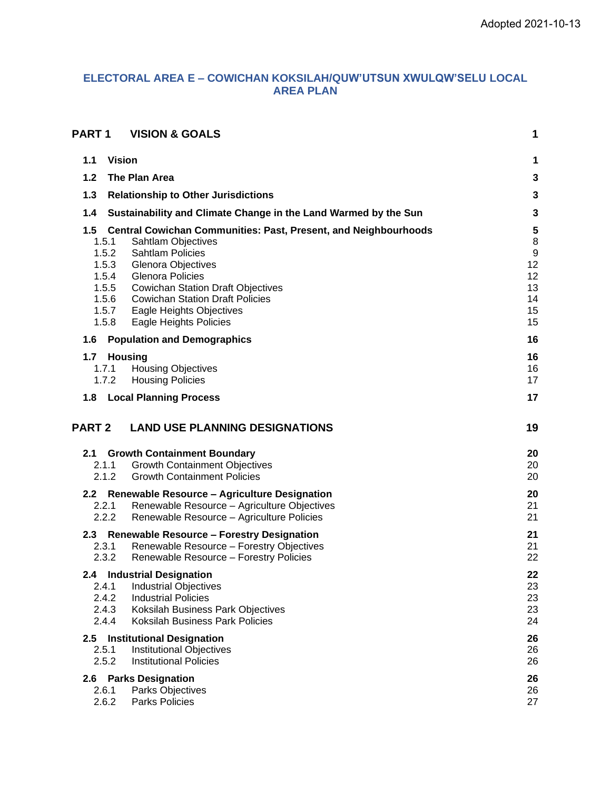# **ELECTORAL AREA E – COWICHAN KOKSILAH/QUW'UTSUN XWULQW'SELU LOCAL AREA PLAN**

| <b>PART1</b>                                                                | <b>VISION &amp; GOALS</b>                                                                                                                                                                                                                                                                                                          | 1                                                              |
|-----------------------------------------------------------------------------|------------------------------------------------------------------------------------------------------------------------------------------------------------------------------------------------------------------------------------------------------------------------------------------------------------------------------------|----------------------------------------------------------------|
| 1.1                                                                         | <b>Vision</b>                                                                                                                                                                                                                                                                                                                      | 1                                                              |
| 1.2                                                                         | The Plan Area                                                                                                                                                                                                                                                                                                                      | 3                                                              |
| 1.3                                                                         | <b>Relationship to Other Jurisdictions</b>                                                                                                                                                                                                                                                                                         | $\mathbf{3}$                                                   |
| 1.4                                                                         | Sustainability and Climate Change in the Land Warmed by the Sun                                                                                                                                                                                                                                                                    | $\mathbf{3}$                                                   |
| 1.5<br>1.5.1<br>1.5.2<br>1.5.3<br>1.5.4<br>1.5.5<br>1.5.6<br>1.5.7<br>1.5.8 | <b>Central Cowichan Communities: Past, Present, and Neighbourhoods</b><br><b>Sahtlam Objectives</b><br><b>Sahtlam Policies</b><br><b>Glenora Objectives</b><br><b>Glenora Policies</b><br><b>Cowichan Station Draft Objectives</b><br><b>Cowichan Station Draft Policies</b><br>Eagle Heights Objectives<br>Eagle Heights Policies | 5<br>8<br>$\boldsymbol{9}$<br>12<br>12<br>13<br>14<br>15<br>15 |
| 1.6                                                                         | <b>Population and Demographics</b>                                                                                                                                                                                                                                                                                                 | 16                                                             |
| 1.7<br>1.7.1<br>1.7.2                                                       | <b>Housing</b><br><b>Housing Objectives</b><br><b>Housing Policies</b>                                                                                                                                                                                                                                                             | 16<br>16<br>17                                                 |
| 1.8                                                                         | <b>Local Planning Process</b>                                                                                                                                                                                                                                                                                                      | 17                                                             |
| <b>PART 2</b>                                                               | <b>LAND USE PLANNING DESIGNATIONS</b>                                                                                                                                                                                                                                                                                              | 19                                                             |
| 2.1<br>2.1.1<br>2.1.2                                                       | <b>Growth Containment Boundary</b><br><b>Growth Containment Objectives</b><br><b>Growth Containment Policies</b>                                                                                                                                                                                                                   | 20<br>20<br>20                                                 |
| 2.2<br>2.2.1<br>2.2.2                                                       | <b>Renewable Resource - Agriculture Designation</b><br>Renewable Resource - Agriculture Objectives<br>Renewable Resource - Agriculture Policies                                                                                                                                                                                    | 20<br>21<br>21                                                 |
| 2.3<br>2.3.1<br>2.3.2                                                       | <b>Renewable Resource - Forestry Designation</b><br>Renewable Resource - Forestry Objectives<br>Renewable Resource - Forestry Policies                                                                                                                                                                                             | 21<br>21<br>22                                                 |
| 2.4.1<br>2.4.2<br>2.4.3<br>2.4.4                                            | 2.4 Industrial Designation<br><b>Industrial Objectives</b><br><b>Industrial Policies</b><br>Koksilah Business Park Objectives<br><b>Koksilah Business Park Policies</b>                                                                                                                                                            | 22<br>23<br>23<br>23<br>24                                     |
| 2.5<br>2.5.1<br>2.5.2                                                       | <b>Institutional Designation</b><br><b>Institutional Objectives</b><br><b>Institutional Policies</b>                                                                                                                                                                                                                               | 26<br>26<br>26                                                 |
| 2.6.1<br>2.6.2                                                              | 2.6 Parks Designation<br>Parks Objectives<br><b>Parks Policies</b>                                                                                                                                                                                                                                                                 | 26<br>26<br>27                                                 |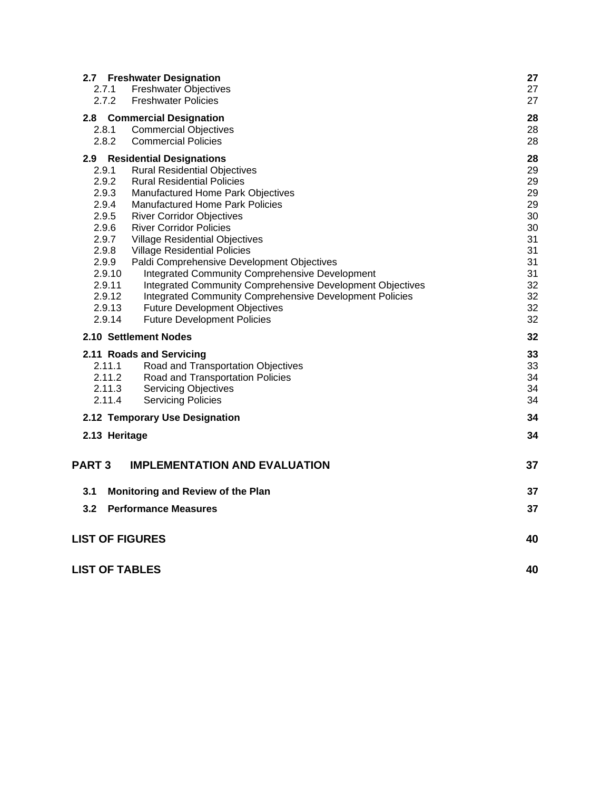|                        | 2.7 Freshwater Designation                                | 27 |
|------------------------|-----------------------------------------------------------|----|
| 2.7.1                  | <b>Freshwater Objectives</b>                              | 27 |
| 2.7.2                  | <b>Freshwater Policies</b>                                | 27 |
| 2.8 <sup>°</sup>       | <b>Commercial Designation</b>                             | 28 |
| 2.8.1                  | <b>Commercial Objectives</b>                              | 28 |
| 2.8.2                  | <b>Commercial Policies</b>                                | 28 |
| $2.9^{\circ}$          | <b>Residential Designations</b>                           | 28 |
| 2.9.1                  | <b>Rural Residential Objectives</b>                       | 29 |
| 2.9.2                  | <b>Rural Residential Policies</b>                         | 29 |
| 2.9.3                  | Manufactured Home Park Objectives                         | 29 |
| 2.9.4                  | <b>Manufactured Home Park Policies</b>                    | 29 |
| 2.9.5                  | <b>River Corridor Objectives</b>                          | 30 |
| 2.9.6                  | <b>River Corridor Policies</b>                            | 30 |
| 2.9.7                  | <b>Village Residential Objectives</b>                     | 31 |
| 2.9.8                  | <b>Village Residential Policies</b>                       | 31 |
| 2.9.9                  | Paldi Comprehensive Development Objectives                | 31 |
| 2.9.10                 | <b>Integrated Community Comprehensive Development</b>     | 31 |
| 2.9.11                 | Integrated Community Comprehensive Development Objectives | 32 |
| 2.9.12                 | Integrated Community Comprehensive Development Policies   | 32 |
| 2.9.13                 | <b>Future Development Objectives</b>                      | 32 |
| 2.9.14                 | <b>Future Development Policies</b>                        | 32 |
|                        | 2.10 Settlement Nodes                                     | 32 |
|                        | 2.11 Roads and Servicing                                  | 33 |
| 2.11.1                 | Road and Transportation Objectives                        | 33 |
| 2.11.2                 | Road and Transportation Policies                          | 34 |
| 2.11.3                 | <b>Servicing Objectives</b>                               | 34 |
| 2.11.4                 | <b>Servicing Policies</b>                                 | 34 |
|                        | 2.12 Temporary Use Designation                            | 34 |
| 2.13 Heritage          |                                                           | 34 |
|                        |                                                           |    |
| <b>PART3</b>           | <b>IMPLEMENTATION AND EVALUATION</b>                      | 37 |
| 3.1                    | Monitoring and Review of the Plan                         | 37 |
| 3.2                    | <b>Performance Measures</b>                               | 37 |
|                        |                                                           |    |
| <b>LIST OF FIGURES</b> |                                                           | 40 |
| <b>LIST OF TABLES</b>  |                                                           | 40 |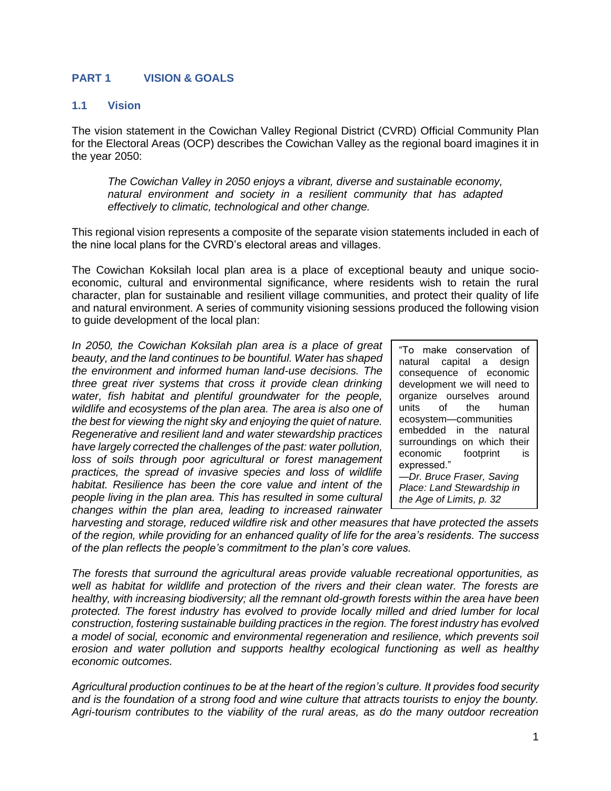### **PART 1 VISION & GOALS**

#### **1.1 Vision**

The vision statement in the Cowichan Valley Regional District (CVRD) Official Community Plan for the Electoral Areas (OCP) describes the Cowichan Valley as the regional board imagines it in the year 2050:

*The Cowichan Valley in 2050 enjoys a vibrant, diverse and sustainable economy, natural environment and society in a resilient community that has adapted effectively to climatic, technological and other change.*

This regional vision represents a composite of the separate vision statements included in each of the nine local plans for the CVRD's electoral areas and villages.

The Cowichan Koksilah local plan area is a place of exceptional beauty and unique socioeconomic, cultural and environmental significance, where residents wish to retain the rural character, plan for sustainable and resilient village communities, and protect their quality of life and natural environment. A series of community visioning sessions produced the following vision to guide development of the local plan:

*In 2050, the Cowichan Koksilah plan area is a place of great beauty, and the land continues to be bountiful. Water has shaped the environment and informed human land-use decisions. The three great river systems that cross it provide clean drinking water, fish habitat and plentiful groundwater for the people, wildlife and ecosystems of the plan area. The area is also one of the best for viewing the night sky and enjoying the quiet of nature. Regenerative and resilient land and water stewardship practices have largely corrected the challenges of the past: water pollution,*  loss of soils through poor agricultural or forest management *practices, the spread of invasive species and loss of wildlife habitat. Resilience has been the core value and intent of the people living in the plan area. This has resulted in some cultural changes within the plan area, leading to increased rainwater* 

"To make conservation of natural capital a design consequence of economic development we will need to organize ourselves around units of the human ecosystem—communities embedded in the natural surroundings on which their economic footprint is expressed." *—Dr. Bruce Fraser, Saving Place: Land Stewardship in* 

*the Age of Limits, p. 32*

*harvesting and storage, reduced wildfire risk and other measures that have protected the assets of the region, while providing for an enhanced quality of life for the area's residents. The success of the plan reflects the people's commitment to the plan's core values.* 

*The forests that surround the agricultural areas provide valuable recreational opportunities, as well as habitat for wildlife and protection of the rivers and their clean water. The forests are healthy, with increasing biodiversity; all the remnant old-growth forests within the area have been protected. The forest industry has evolved to provide locally milled and dried lumber for local construction, fostering sustainable building practices in the region. The forest industry has evolved a model of social, economic and environmental regeneration and resilience, which prevents soil erosion and water pollution and supports healthy ecological functioning as well as healthy economic outcomes.*

*Agricultural production continues to be at the heart of the region's culture. It provides food security and is the foundation of a strong food and wine culture that attracts tourists to enjoy the bounty. Agri-tourism contributes to the viability of the rural areas, as do the many outdoor recreation*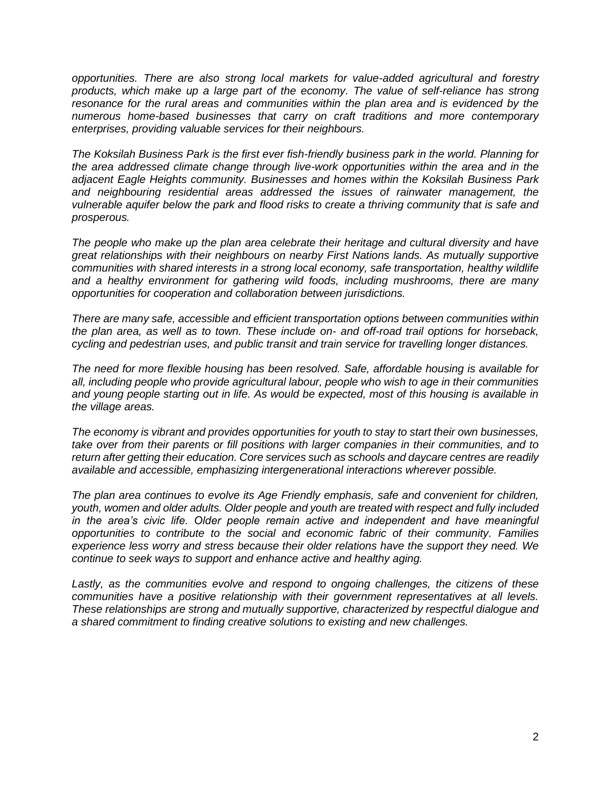*opportunities. There are also strong local markets for value-added agricultural and forestry*  products, which make up a large part of the economy. The value of self-reliance has strong *resonance for the rural areas and communities within the plan area and is evidenced by the numerous home-based businesses that carry on craft traditions and more contemporary enterprises, providing valuable services for their neighbours.*

*The Koksilah Business Park is the first ever fish-friendly business park in the world. Planning for the area addressed climate change through live-work opportunities within the area and in the adjacent Eagle Heights community. Businesses and homes within the Koksilah Business Park and neighbouring residential areas addressed the issues of rainwater management, the vulnerable aquifer below the park and flood risks to create a thriving community that is safe and prosperous.*

*The people who make up the plan area celebrate their heritage and cultural diversity and have great relationships with their neighbours on nearby First Nations lands. As mutually supportive communities with shared interests in a strong local economy, safe transportation, healthy wildlife and a healthy environment for gathering wild foods, including mushrooms, there are many opportunities for cooperation and collaboration between jurisdictions.* 

*There are many safe, accessible and efficient transportation options between communities within the plan area, as well as to town. These include on- and off-road trail options for horseback, cycling and pedestrian uses, and public transit and train service for travelling longer distances.*

*The need for more flexible housing has been resolved. Safe, affordable housing is available for all, including people who provide agricultural labour, people who wish to age in their communities and young people starting out in life. As would be expected, most of this housing is available in the village areas.* 

*The economy is vibrant and provides opportunities for youth to stay to start their own businesses, take over from their parents or fill positions with larger companies in their communities, and to return after getting their education. Core services such as schools and daycare centres are readily available and accessible, emphasizing intergenerational interactions wherever possible.*

*The plan area continues to evolve its Age Friendly emphasis, safe and convenient for children, youth, women and older adults. Older people and youth are treated with respect and fully included in the area's civic life. Older people remain active and independent and have meaningful opportunities to contribute to the social and economic fabric of their community. Families experience less worry and stress because their older relations have the support they need. We continue to seek ways to support and enhance active and healthy aging.*

*Lastly, as the communities evolve and respond to ongoing challenges, the citizens of these communities have a positive relationship with their government representatives at all levels. These relationships are strong and mutually supportive, characterized by respectful dialogue and a shared commitment to finding creative solutions to existing and new challenges.*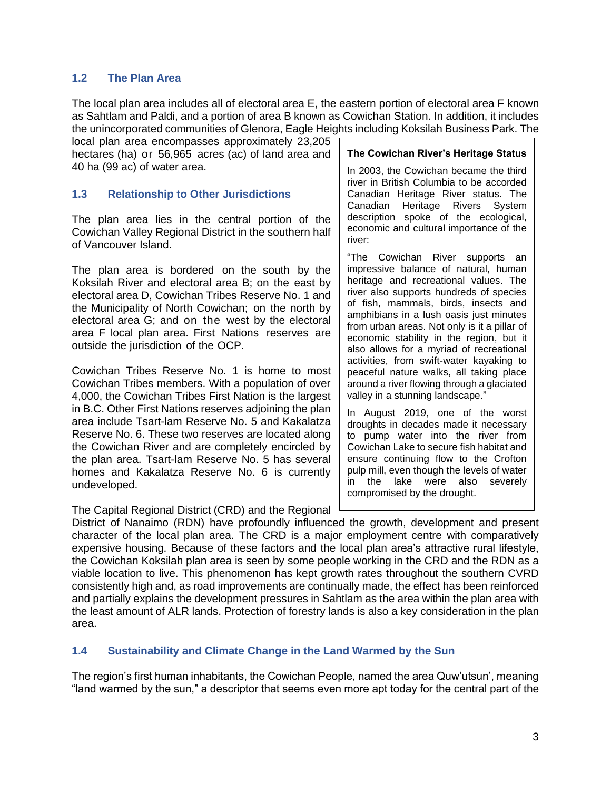### **1.2 The Plan Area**

The local plan area includes all of electoral area E, the eastern portion of electoral area F known as Sahtlam and Paldi, and a portion of area B known as Cowichan Station. In addition, it includes the unincorporated communities of Glenora, Eagle Heights including Koksilah Business Park. The

local plan area encompasses approximately 23,205 hectares (ha) or 56,965 acres (ac) of land area and 40 ha (99 ac) of water area.

### **1.3 Relationship to Other Jurisdictions**

The plan area lies in the central portion of the Cowichan Valley Regional District in the southern half of Vancouver Island.

The plan area is bordered on the south by the Koksilah River and electoral area B; on the east by electoral area D, Cowichan Tribes Reserve No. 1 and the Municipality of North Cowichan; on the north by electoral area G; and on the west by the electoral area F local plan area. First Nations reserves are outside the jurisdiction of the OCP.

Cowichan Tribes Reserve No. 1 is home to most Cowichan Tribes members. With a population of over 4,000, the Cowichan Tribes First Nation is the largest in B.C. Other First Nations reserves adjoining the plan area include Tsart-lam Reserve No. 5 and Kakalatza Reserve No. 6. These two reserves are located along the Cowichan River and are completely encircled by the plan area. Tsart-lam Reserve No. 5 has several homes and Kakalatza Reserve No. 6 is currently undeveloped.

The Capital Regional District (CRD) and the Regional

#### **The Cowichan River's Heritage Status**

In 2003, the Cowichan became the third river in British Columbia to be accorded Canadian Heritage River status. The Canadian Heritage Rivers System description spoke of the ecological, economic and cultural importance of the river:

"The Cowichan River supports an impressive balance of natural, human heritage and recreational values. The river also supports hundreds of species of fish, mammals, birds, insects and amphibians in a lush oasis just minutes from urban areas. Not only is it a pillar of economic stability in the region, but it also allows for a myriad of recreational activities, from swift-water kayaking to peaceful nature walks, all taking place around a river flowing through a glaciated valley in a stunning landscape."

In August 2019, one of the worst droughts in decades made it necessary to pump water into the river from Cowichan Lake to secure fish habitat and ensure continuing flow to the Crofton pulp mill, even though the levels of water in the lake were also severely compromised by the drought.

District of Nanaimo (RDN) have profoundly influenced the growth, development and present character of the local plan area. The CRD is a major employment centre with comparatively expensive housing. Because of these factors and the local plan area's attractive rural lifestyle, the Cowichan Koksilah plan area is seen by some people working in the CRD and the RDN as a viable location to live. This phenomenon has kept growth rates throughout the southern CVRD consistently high and, as road improvements are continually made, the effect has been reinforced and partially explains the development pressures in Sahtlam as the area within the plan area with the least amount of ALR lands. Protection of forestry lands is also a key consideration in the plan area.

### **1.4 Sustainability and Climate Change in the Land Warmed by the Sun**

The region's first human inhabitants, the Cowichan People, named the area Quw'utsun', meaning "land warmed by the sun," a descriptor that seems even more apt today for the central part of the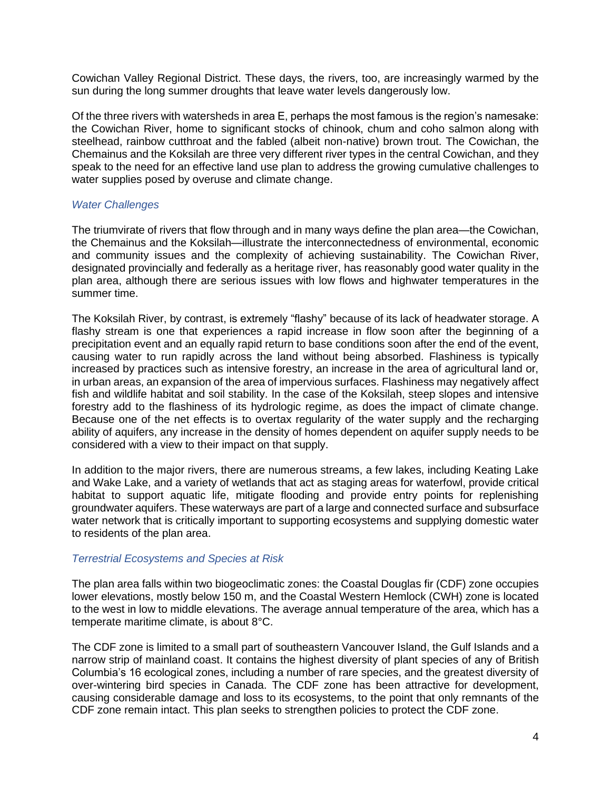Cowichan Valley Regional District. These days, the rivers, too, are increasingly warmed by the sun during the long summer droughts that leave water levels dangerously low.

Of the three rivers with watersheds in area E, perhaps the most famous is the region's namesake: the Cowichan River, home to significant stocks of chinook, chum and coho salmon along with steelhead, rainbow cutthroat and the fabled (albeit non-native) brown trout. The Cowichan, the Chemainus and the Koksilah are three very different river types in the central Cowichan, and they speak to the need for an effective land use plan to address the growing cumulative challenges to water supplies posed by overuse and climate change.

#### *Water Challenges*

The triumvirate of rivers that flow through and in many ways define the plan area—the Cowichan, the Chemainus and the Koksilah—illustrate the interconnectedness of environmental, economic and community issues and the complexity of achieving sustainability. The Cowichan River, designated provincially and federally as a heritage river, has reasonably good water quality in the plan area, although there are serious issues with low flows and highwater temperatures in the summer time.

The Koksilah River, by contrast, is extremely "flashy" because of its lack of headwater storage. A flashy stream is one that experiences a rapid increase in flow soon after the beginning of a precipitation event and an equally rapid return to base conditions soon after the end of the event, causing water to run rapidly across the land without being absorbed. Flashiness is typically increased by practices such as intensive forestry, an increase in the area of agricultural land or, in urban areas, an expansion of the area of impervious surfaces. Flashiness may negatively affect fish and wildlife habitat and soil stability. In the case of the Koksilah, steep slopes and intensive forestry add to the flashiness of its hydrologic regime, as does the impact of climate change. Because one of the net effects is to overtax regularity of the water supply and the recharging ability of aquifers, any increase in the density of homes dependent on aquifer supply needs to be considered with a view to their impact on that supply.

In addition to the major rivers, there are numerous streams, a few lakes, including Keating Lake and Wake Lake, and a variety of wetlands that act as staging areas for waterfowl, provide critical habitat to support aquatic life, mitigate flooding and provide entry points for replenishing groundwater aquifers. These waterways are part of a large and connected surface and subsurface water network that is critically important to supporting ecosystems and supplying domestic water to residents of the plan area.

#### *Terrestrial Ecosystems and Species at Risk*

The plan area falls within two biogeoclimatic zones: the Coastal Douglas fir (CDF) zone occupies lower elevations, mostly below 150 m, and the Coastal Western Hemlock (CWH) zone is located to the west in low to middle elevations. The average annual temperature of the area, which has a temperate maritime climate, is about 8°C.

The CDF zone is limited to a small part of southeastern Vancouver Island, the Gulf Islands and a narrow strip of mainland coast. It contains the highest diversity of plant species of any of British Columbia's 16 ecological zones, including a number of rare species, and the greatest diversity of over-wintering bird species in Canada. The CDF zone has been attractive for development, causing considerable damage and loss to its ecosystems, to the point that only remnants of the CDF zone remain intact. This plan seeks to strengthen policies to protect the CDF zone.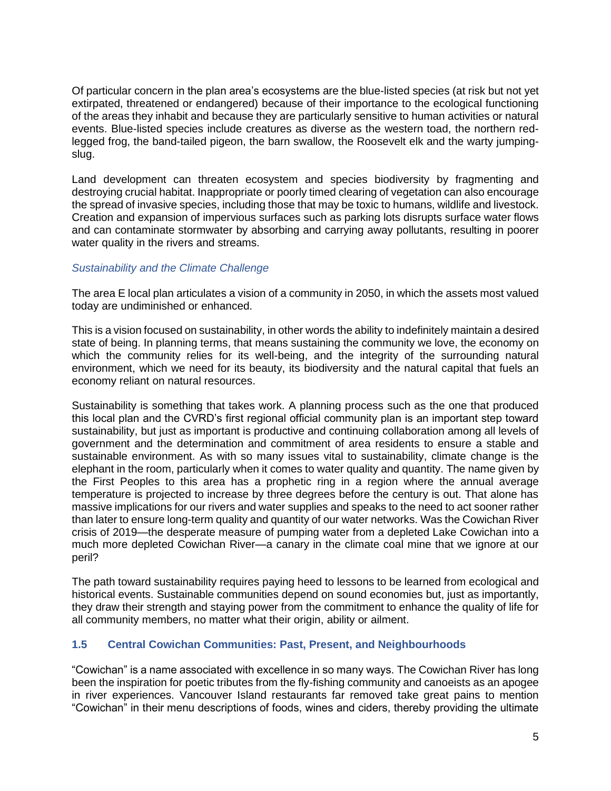Of particular concern in the plan area's ecosystems are the blue-listed species (at risk but not yet extirpated, threatened or endangered) because of their importance to the ecological functioning of the areas they inhabit and because they are particularly sensitive to human activities or natural events. Blue-listed species include creatures as diverse as the western toad, the northern redlegged frog, the band-tailed pigeon, the barn swallow, the Roosevelt elk and the warty jumpingslug.

Land development can threaten ecosystem and species biodiversity by fragmenting and destroying crucial habitat. Inappropriate or poorly timed clearing of vegetation can also encourage the spread of invasive species, including those that may be toxic to humans, wildlife and livestock. Creation and expansion of impervious surfaces such as parking lots disrupts surface water flows and can contaminate stormwater by absorbing and carrying away pollutants, resulting in poorer water quality in the rivers and streams.

### *Sustainability and the Climate Challenge*

The area E local plan articulates a vision of a community in 2050, in which the assets most valued today are undiminished or enhanced.

This is a vision focused on sustainability, in other words the ability to indefinitely maintain a desired state of being. In planning terms, that means sustaining the community we love, the economy on which the community relies for its well-being, and the integrity of the surrounding natural environment, which we need for its beauty, its biodiversity and the natural capital that fuels an economy reliant on natural resources.

Sustainability is something that takes work. A planning process such as the one that produced this local plan and the CVRD's first regional official community plan is an important step toward sustainability, but just as important is productive and continuing collaboration among all levels of government and the determination and commitment of area residents to ensure a stable and sustainable environment. As with so many issues vital to sustainability, climate change is the elephant in the room, particularly when it comes to water quality and quantity. The name given by the First Peoples to this area has a prophetic ring in a region where the annual average temperature is projected to increase by three degrees before the century is out. That alone has massive implications for our rivers and water supplies and speaks to the need to act sooner rather than later to ensure long-term quality and quantity of our water networks. Was the Cowichan River crisis of 2019—the desperate measure of pumping water from a depleted Lake Cowichan into a much more depleted Cowichan River—a canary in the climate coal mine that we ignore at our peril?

The path toward sustainability requires paying heed to lessons to be learned from ecological and historical events. Sustainable communities depend on sound economies but, just as importantly, they draw their strength and staying power from the commitment to enhance the quality of life for all community members, no matter what their origin, ability or ailment.

### **1.5 Central Cowichan Communities: Past, Present, and Neighbourhoods**

"Cowichan" is a name associated with excellence in so many ways. The Cowichan River has long been the inspiration for poetic tributes from the fly-fishing community and canoeists as an apogee in river experiences. Vancouver Island restaurants far removed take great pains to mention "Cowichan" in their menu descriptions of foods, wines and ciders, thereby providing the ultimate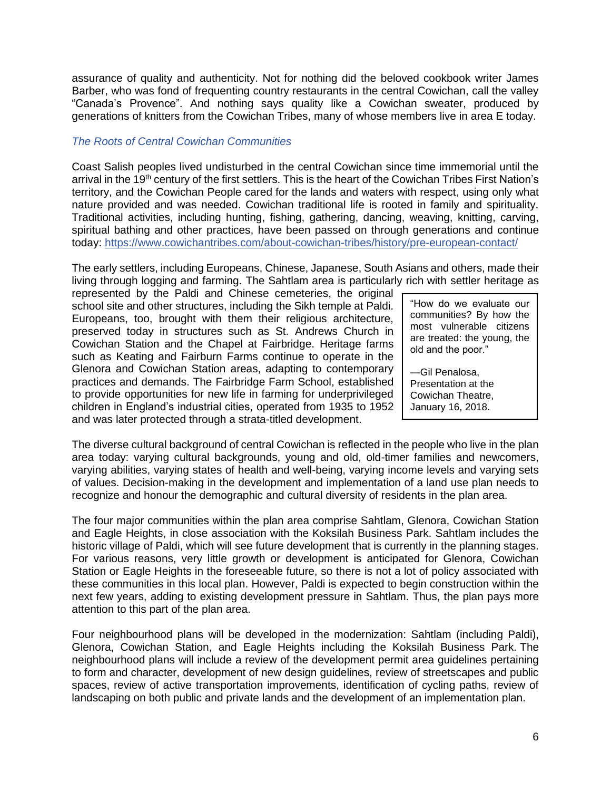assurance of quality and authenticity. Not for nothing did the beloved cookbook writer James Barber, who was fond of frequenting country restaurants in the central Cowichan, call the valley "Canada's Provence". And nothing says quality like a Cowichan sweater, produced by generations of knitters from the Cowichan Tribes, many of whose members live in area E today.

### *The Roots of Central Cowichan Communities*

Coast Salish peoples lived undisturbed in the central Cowichan since time immemorial until the arrival in the 19<sup>th</sup> century of the first settlers. This is the heart of the Cowichan Tribes First Nation's territory, and the Cowichan People cared for the lands and waters with respect, using only what nature provided and was needed. Cowichan traditional life is rooted in family and spirituality. Traditional activities, including hunting, fishing, gathering, dancing, weaving, knitting, carving, spiritual bathing and other practices, have been passed on through generations and continue today: <https://www.cowichantribes.com/about-cowichan-tribes/history/pre-european-contact/>

The early settlers, including Europeans, Chinese, Japanese, South Asians and others, made their living through logging and farming. The Sahtlam area is particularly rich with settler heritage as

represented by the Paldi and Chinese cemeteries, the original school site and other structures, including the Sikh temple at Paldi. Europeans, too, brought with them their religious architecture, preserved today in structures such as St. Andrews Church in Cowichan Station and the Chapel at Fairbridge. Heritage farms such as Keating and Fairburn Farms continue to operate in the Glenora and Cowichan Station areas, adapting to contemporary practices and demands. The Fairbridge Farm School, established to provide opportunities for new life in farming for underprivileged children in England's industrial cities, operated from 1935 to 1952 and was later protected through a strata-titled development.

"How do we evaluate our communities? By how the most vulnerable citizens are treated: the young, the old and the poor."

*—*Gil Penalosa, Presentation at the Cowichan Theatre, January 16, 2018.

The diverse cultural background of central Cowichan is reflected in the people who live in the plan area today: varying cultural backgrounds, young and old, old-timer families and newcomers, varying abilities, varying states of health and well-being, varying income levels and varying sets of values. Decision-making in the development and implementation of a land use plan needs to recognize and honour the demographic and cultural diversity of residents in the plan area.

The four major communities within the plan area comprise Sahtlam, Glenora, Cowichan Station and Eagle Heights, in close association with the Koksilah Business Park. Sahtlam includes the historic village of Paldi, which will see future development that is currently in the planning stages. For various reasons, very little growth or development is anticipated for Glenora, Cowichan Station or Eagle Heights in the foreseeable future, so there is not a lot of policy associated with these communities in this local plan. However, Paldi is expected to begin construction within the next few years, adding to existing development pressure in Sahtlam. Thus, the plan pays more attention to this part of the plan area.

Four neighbourhood plans will be developed in the modernization: Sahtlam (including Paldi), Glenora, Cowichan Station, and Eagle Heights including the Koksilah Business Park. The neighbourhood plans will include a review of the development permit area guidelines pertaining to form and character, development of new design guidelines, review of streetscapes and public spaces, review of active transportation improvements, identification of cycling paths, review of landscaping on both public and private lands and the development of an implementation plan.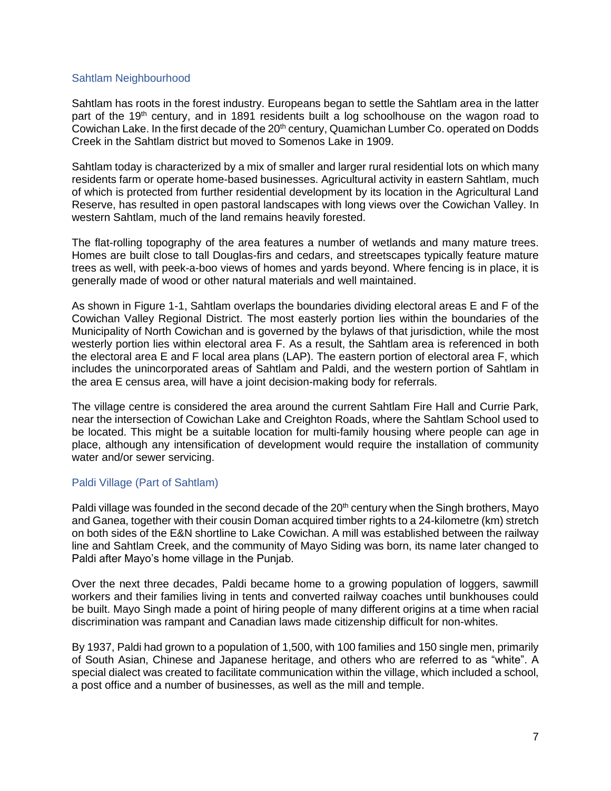#### Sahtlam Neighbourhood

Sahtlam has roots in the forest industry. Europeans began to settle the Sahtlam area in the latter part of the 19<sup>th</sup> century, and in 1891 residents built a log schoolhouse on the wagon road to Cowichan Lake. In the first decade of the 20<sup>th</sup> century, Quamichan Lumber Co. operated on Dodds Creek in the Sahtlam district but moved to Somenos Lake in 1909.

Sahtlam today is characterized by a mix of smaller and larger rural residential lots on which many residents farm or operate home-based businesses. Agricultural activity in eastern Sahtlam, much of which is protected from further residential development by its location in the Agricultural Land Reserve, has resulted in open pastoral landscapes with long views over the Cowichan Valley. In western Sahtlam, much of the land remains heavily forested.

The flat-rolling topography of the area features a number of wetlands and many mature trees. Homes are built close to tall Douglas-firs and cedars, and streetscapes typically feature mature trees as well, with peek-a-boo views of homes and yards beyond. Where fencing is in place, it is generally made of wood or other natural materials and well maintained.

As shown in Figure 1-1, Sahtlam overlaps the boundaries dividing electoral areas E and F of the Cowichan Valley Regional District. The most easterly portion lies within the boundaries of the Municipality of North Cowichan and is governed by the bylaws of that jurisdiction, while the most westerly portion lies within electoral area F. As a result, the Sahtlam area is referenced in both the electoral area E and F local area plans (LAP). The eastern portion of electoral area F, which includes the unincorporated areas of Sahtlam and Paldi, and the western portion of Sahtlam in the area E census area, will have a joint decision-making body for referrals.

The village centre is considered the area around the current Sahtlam Fire Hall and Currie Park, near the intersection of Cowichan Lake and Creighton Roads, where the Sahtlam School used to be located. This might be a suitable location for multi-family housing where people can age in place, although any intensification of development would require the installation of community water and/or sewer servicing.

### Paldi Village (Part of Sahtlam)

Paldi village was founded in the second decade of the  $20<sup>th</sup>$  century when the Singh brothers, Mayo and Ganea, together with their cousin Doman acquired timber rights to a 24-kilometre (km) stretch on both sides of the E&N shortline to Lake Cowichan. A mill was established between the railway line and Sahtlam Creek, and the community of Mayo Siding was born, its name later changed to Paldi after Mayo's home village in the Punjab.

Over the next three decades, Paldi became home to a growing population of loggers, sawmill workers and their families living in tents and converted railway coaches until bunkhouses could be built. Mayo Singh made a point of hiring people of many different origins at a time when racial discrimination was rampant and Canadian laws made citizenship difficult for non-whites.

By 1937, Paldi had grown to a population of 1,500, with 100 families and 150 single men, primarily of South Asian, Chinese and Japanese heritage, and others who are referred to as "white". A special dialect was created to facilitate communication within the village, which included a school, a post office and a number of businesses, as well as the mill and temple.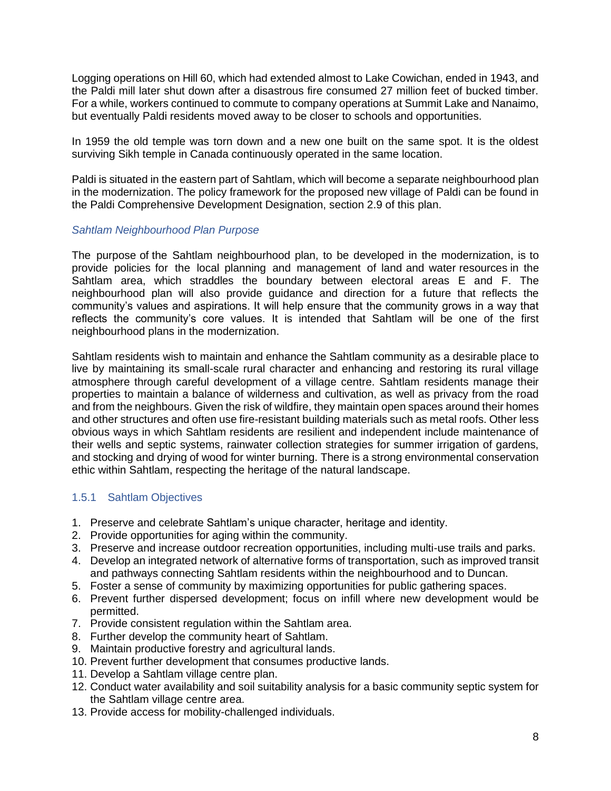Logging operations on Hill 60, which had extended almost to Lake Cowichan, ended in 1943, and the Paldi mill later shut down after a disastrous fire consumed 27 million feet of bucked timber. For a while, workers continued to commute to company operations at Summit Lake and Nanaimo, but eventually Paldi residents moved away to be closer to schools and opportunities.

In 1959 the old temple was torn down and a new one built on the same spot. It is the oldest surviving Sikh temple in Canada continuously operated in the same location.

Paldi is situated in the eastern part of Sahtlam, which will become a separate neighbourhood plan in the modernization. The policy framework for the proposed new village of Paldi can be found in the Paldi Comprehensive Development Designation, section 2.9 of this plan.

#### *Sahtlam Neighbourhood Plan Purpose*

The purpose of the Sahtlam neighbourhood plan, to be developed in the modernization, is to provide policies for the local planning and management of land and water resources in the Sahtlam area, which straddles the boundary between electoral areas E and F. The neighbourhood plan will also provide guidance and direction for a future that reflects the community's values and aspirations. It will help ensure that the community grows in a way that reflects the community's core values. It is intended that Sahtlam will be one of the first neighbourhood plans in the modernization.

Sahtlam residents wish to maintain and enhance the Sahtlam community as a desirable place to live by maintaining its small-scale rural character and enhancing and restoring its rural village atmosphere through careful development of a village centre. Sahtlam residents manage their properties to maintain a balance of wilderness and cultivation, as well as privacy from the road and from the neighbours. Given the risk of wildfire, they maintain open spaces around their homes and other structures and often use fire-resistant building materials such as metal roofs. Other less obvious ways in which Sahtlam residents are resilient and independent include maintenance of their wells and septic systems, rainwater collection strategies for summer irrigation of gardens, and stocking and drying of wood for winter burning. There is a strong environmental conservation ethic within Sahtlam, respecting the heritage of the natural landscape.

### 1.5.1 Sahtlam Objectives

- 1. Preserve and celebrate Sahtlam's unique character, heritage and identity.
- 2. Provide opportunities for aging within the community.
- 3. Preserve and increase outdoor recreation opportunities, including multi-use trails and parks.
- 4. Develop an integrated network of alternative forms of transportation, such as improved transit and pathways connecting Sahtlam residents within the neighbourhood and to Duncan.
- 5. Foster a sense of community by maximizing opportunities for public gathering spaces.
- 6. Prevent further dispersed development; focus on infill where new development would be permitted.
- 7. Provide consistent regulation within the Sahtlam area.
- 8. Further develop the community heart of Sahtlam.
- 9. Maintain productive forestry and agricultural lands.
- 10. Prevent further development that consumes productive lands.
- 11. Develop a Sahtlam village centre plan.
- 12. Conduct water availability and soil suitability analysis for a basic community septic system for the Sahtlam village centre area.
- 13. Provide access for mobility-challenged individuals.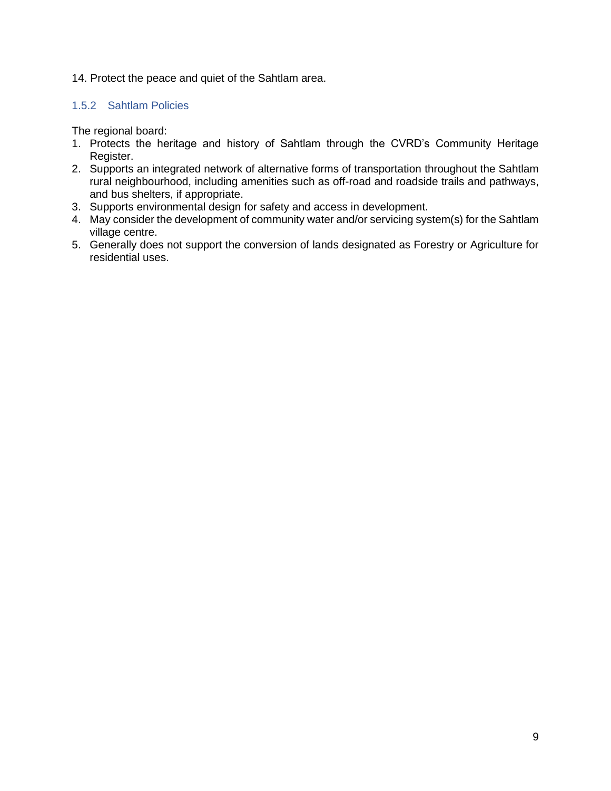### 14. Protect the peace and quiet of the Sahtlam area.

### 1.5.2 Sahtlam Policies

The regional board:

- 1. Protects the heritage and history of Sahtlam through the CVRD's Community Heritage Register.
- 2. Supports an integrated network of alternative forms of transportation throughout the Sahtlam rural neighbourhood, including amenities such as off-road and roadside trails and pathways, and bus shelters, if appropriate.
- 3. Supports environmental design for safety and access in development.
- 4. May consider the development of community water and/or servicing system(s) for the Sahtlam village centre.
- 5. Generally does not support the conversion of lands designated as Forestry or Agriculture for residential uses.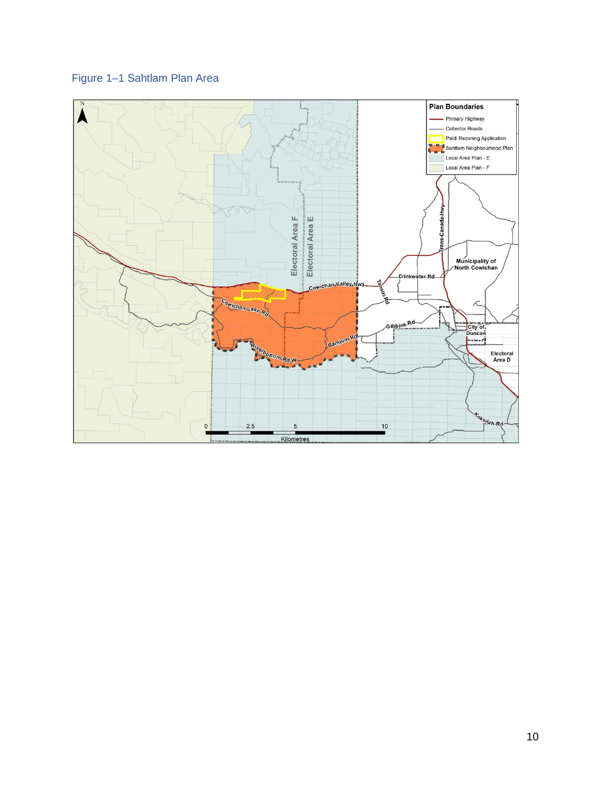# <span id="page-11-0"></span>Figure 1–1 Sahtlam Plan Area

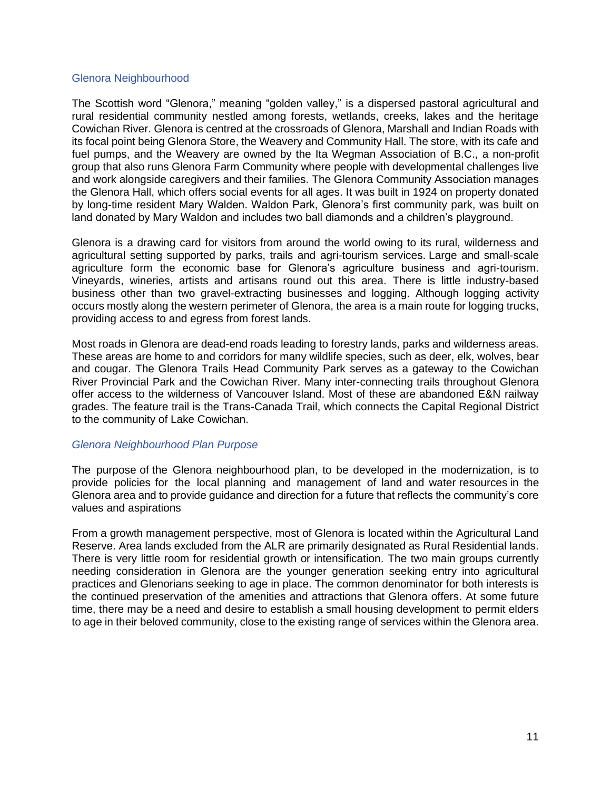#### Glenora Neighbourhood

The Scottish word "Glenora," meaning "golden valley," is a dispersed pastoral agricultural and rural residential community nestled among forests, wetlands, creeks, lakes and the heritage Cowichan River. Glenora is centred at the crossroads of Glenora, Marshall and Indian Roads with its focal point being Glenora Store, the Weavery and Community Hall. The store, with its cafe and fuel pumps, and the Weavery are owned by the Ita Wegman Association of B.C., a non-profit group that also runs Glenora Farm Community where people with developmental challenges live and work alongside caregivers and their families. The Glenora Community Association manages the Glenora Hall, which offers social events for all ages. It was built in 1924 on property donated by long-time resident Mary Walden. Waldon Park, Glenora's first community park, was built on land donated by Mary Waldon and includes two ball diamonds and a children's playground.

Glenora is a drawing card for visitors from around the world owing to its rural, wilderness and agricultural setting supported by parks, trails and agri-tourism services. Large and small-scale agriculture form the economic base for Glenora's agriculture business and agri-tourism. Vineyards, wineries, artists and artisans round out this area. There is little industry-based business other than two gravel-extracting businesses and logging. Although logging activity occurs mostly along the western perimeter of Glenora, the area is a main route for logging trucks, providing access to and egress from forest lands.

Most roads in Glenora are dead-end roads leading to forestry lands, parks and wilderness areas. These areas are home to and corridors for many wildlife species, such as deer, elk, wolves, bear and cougar. The Glenora Trails Head Community Park serves as a gateway to the Cowichan River Provincial Park and the Cowichan River. Many inter-connecting trails throughout Glenora offer access to the wilderness of Vancouver Island. Most of these are abandoned E&N railway grades. The feature trail is the Trans-Canada Trail, which connects the Capital Regional District to the community of Lake Cowichan.

#### *Glenora Neighbourhood Plan Purpose*

The purpose of the Glenora neighbourhood plan, to be developed in the modernization, is to provide policies for the local planning and management of land and water resources in the Glenora area and to provide guidance and direction for a future that reflects the community's core values and aspirations

From a growth management perspective, most of Glenora is located within the Agricultural Land Reserve. Area lands excluded from the ALR are primarily designated as Rural Residential lands. There is very little room for residential growth or intensification. The two main groups currently needing consideration in Glenora are the younger generation seeking entry into agricultural practices and Glenorians seeking to age in place. The common denominator for both interests is the continued preservation of the amenities and attractions that Glenora offers. At some future time, there may be a need and desire to establish a small housing development to permit elders to age in their beloved community, close to the existing range of services within the Glenora area.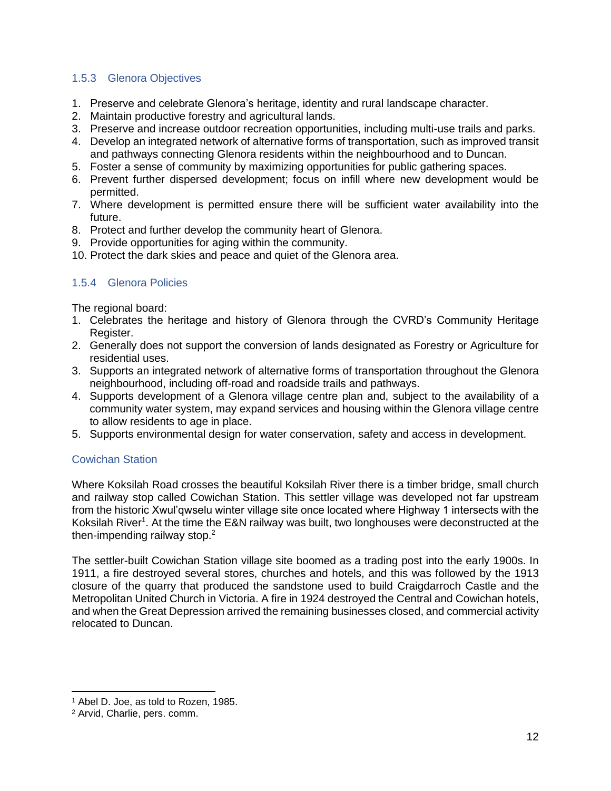### 1.5.3 Glenora Objectives

- 1. Preserve and celebrate Glenora's heritage, identity and rural landscape character.
- 2. Maintain productive forestry and agricultural lands.
- 3. Preserve and increase outdoor recreation opportunities, including multi-use trails and parks.
- 4. Develop an integrated network of alternative forms of transportation, such as improved transit and pathways connecting Glenora residents within the neighbourhood and to Duncan.
- 5. Foster a sense of community by maximizing opportunities for public gathering spaces.
- 6. Prevent further dispersed development; focus on infill where new development would be permitted.
- 7. Where development is permitted ensure there will be sufficient water availability into the future.
- 8. Protect and further develop the community heart of Glenora.
- 9. Provide opportunities for aging within the community.
- 10. Protect the dark skies and peace and quiet of the Glenora area.

# 1.5.4 Glenora Policies

The regional board:

- 1. Celebrates the heritage and history of Glenora through the CVRD's Community Heritage Register.
- 2. Generally does not support the conversion of lands designated as Forestry or Agriculture for residential uses.
- 3. Supports an integrated network of alternative forms of transportation throughout the Glenora neighbourhood, including off-road and roadside trails and pathways.
- 4. Supports development of a Glenora village centre plan and, subject to the availability of a community water system, may expand services and housing within the Glenora village centre to allow residents to age in place.
- 5. Supports environmental design for water conservation, safety and access in development.

### Cowichan Station

Where Koksilah Road crosses the beautiful Koksilah River there is a timber bridge, small church and railway stop called Cowichan Station. This settler village was developed not far upstream from the historic Xwul'qwselu winter village site once located where Highway 1 intersects with the Koksilah River<sup>1</sup>. At the time the E&N railway was built, two longhouses were deconstructed at the then-impending railway stop.<sup>2</sup>

The settler-built Cowichan Station village site boomed as a trading post into the early 1900s. In 1911, a fire destroyed several stores, churches and hotels, and this was followed by the 1913 closure of the quarry that produced the sandstone used to build Craigdarroch Castle and the Metropolitan United Church in Victoria. A fire in 1924 destroyed the Central and Cowichan hotels, and when the Great Depression arrived the remaining businesses closed, and commercial activity relocated to Duncan.

<sup>1</sup> Abel D. Joe, as told to Rozen, 1985.

<sup>2</sup> Arvid, Charlie, pers. comm.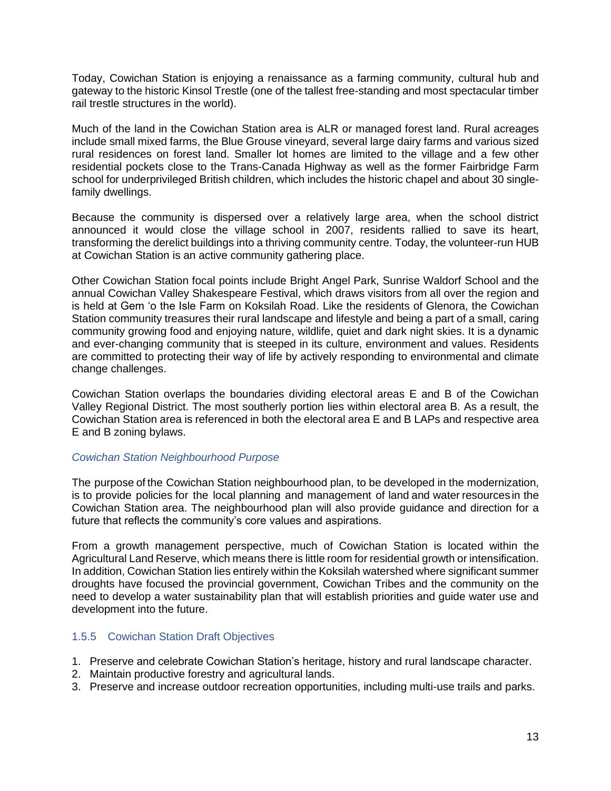Today, Cowichan Station is enjoying a renaissance as a farming community, cultural hub and gateway to the historic Kinsol Trestle (one of the tallest free-standing and most spectacular timber rail trestle structures in the world).

Much of the land in the Cowichan Station area is ALR or managed forest land. Rural acreages include small mixed farms, the Blue Grouse vineyard, several large dairy farms and various sized rural residences on forest land. Smaller lot homes are limited to the village and a few other residential pockets close to the Trans-Canada Highway as well as the former Fairbridge Farm school for underprivileged British children, which includes the historic chapel and about 30 singlefamily dwellings.

Because the community is dispersed over a relatively large area, when the school district announced it would close the village school in 2007, residents rallied to save its heart, transforming the derelict buildings into a thriving community centre. Today, the volunteer-run HUB at Cowichan Station is an active community gathering place.

Other Cowichan Station focal points include Bright Angel Park, Sunrise Waldorf School and the annual Cowichan Valley Shakespeare Festival, which draws visitors from all over the region and is held at Gem 'o the Isle Farm on Koksilah Road. Like the residents of Glenora, the Cowichan Station community treasures their rural landscape and lifestyle and being a part of a small, caring community growing food and enjoying nature, wildlife, quiet and dark night skies. It is a dynamic and ever-changing community that is steeped in its culture, environment and values. Residents are committed to protecting their way of life by actively responding to environmental and climate change challenges.

Cowichan Station overlaps the boundaries dividing electoral areas E and B of the Cowichan Valley Regional District. The most southerly portion lies within electoral area B. As a result, the Cowichan Station area is referenced in both the electoral area E and B LAPs and respective area E and B zoning bylaws.

### *Cowichan Station Neighbourhood Purpose*

The purpose of the Cowichan Station neighbourhood plan, to be developed in the modernization, is to provide policies for the local planning and management of land and water resources in the Cowichan Station area. The neighbourhood plan will also provide guidance and direction for a future that reflects the community's core values and aspirations.

From a growth management perspective, much of Cowichan Station is located within the Agricultural Land Reserve, which means there is little room for residential growth or intensification. In addition, Cowichan Station lies entirely within the Koksilah watershed where significant summer droughts have focused the provincial government, Cowichan Tribes and the community on the need to develop a water sustainability plan that will establish priorities and guide water use and development into the future.

#### 1.5.5 Cowichan Station Draft Objectives

- 1. Preserve and celebrate Cowichan Station's heritage, history and rural landscape character.
- 2. Maintain productive forestry and agricultural lands.
- 3. Preserve and increase outdoor recreation opportunities, including multi-use trails and parks.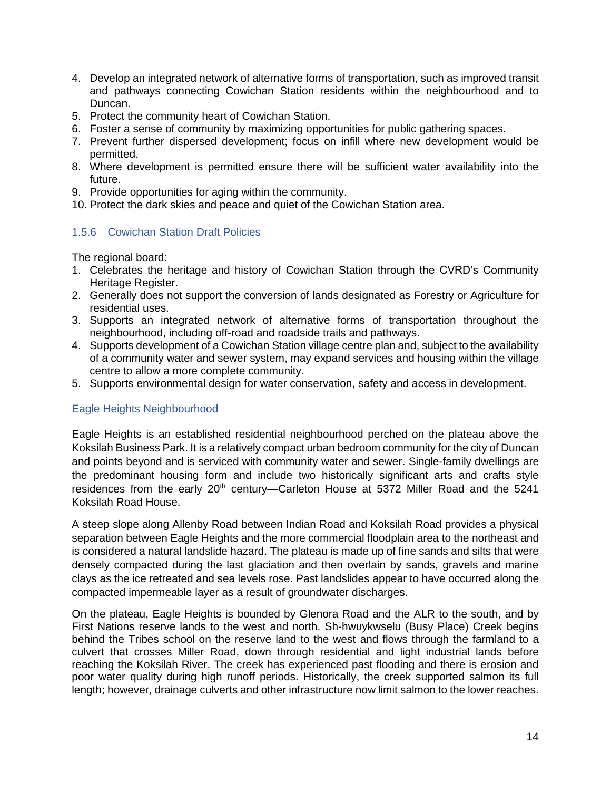- 4. Develop an integrated network of alternative forms of transportation, such as improved transit and pathways connecting Cowichan Station residents within the neighbourhood and to Duncan.
- 5. Protect the community heart of Cowichan Station.
- 6. Foster a sense of community by maximizing opportunities for public gathering spaces.
- 7. Prevent further dispersed development; focus on infill where new development would be permitted.
- 8. Where development is permitted ensure there will be sufficient water availability into the future.
- 9. Provide opportunities for aging within the community.
- 10. Protect the dark skies and peace and quiet of the Cowichan Station area.

#### 1.5.6 Cowichan Station Draft Policies

The regional board:

- 1. Celebrates the heritage and history of Cowichan Station through the CVRD's Community Heritage Register.
- 2. Generally does not support the conversion of lands designated as Forestry or Agriculture for residential uses.
- 3. Supports an integrated network of alternative forms of transportation throughout the neighbourhood, including off-road and roadside trails and pathways.
- 4. Supports development of a Cowichan Station village centre plan and, subject to the availability of a community water and sewer system, may expand services and housing within the village centre to allow a more complete community.
- 5. Supports environmental design for water conservation, safety and access in development.

### Eagle Heights Neighbourhood

Eagle Heights is an established residential neighbourhood perched on the plateau above the Koksilah Business Park. It is a relatively compact urban bedroom community for the city of Duncan and points beyond and is serviced with community water and sewer. Single-family dwellings are the predominant housing form and include two historically significant arts and crafts style residences from the early 20<sup>th</sup> century—Carleton House at 5372 Miller Road and the 5241 Koksilah Road House.

A steep slope along Allenby Road between Indian Road and Koksilah Road provides a physical separation between Eagle Heights and the more commercial floodplain area to the northeast and is considered a natural landslide hazard. The plateau is made up of fine sands and silts that were densely compacted during the last glaciation and then overlain by sands, gravels and marine clays as the ice retreated and sea levels rose. Past landslides appear to have occurred along the compacted impermeable layer as a result of groundwater discharges.

On the plateau, Eagle Heights is bounded by Glenora Road and the ALR to the south, and by First Nations reserve lands to the west and north. Sh-hwuykwselu (Busy Place) Creek begins behind the Tribes school on the reserve land to the west and flows through the farmland to a culvert that crosses Miller Road, down through residential and light industrial lands before reaching the Koksilah River. The creek has experienced past flooding and there is erosion and poor water quality during high runoff periods. Historically, the creek supported salmon its full length; however, drainage culverts and other infrastructure now limit salmon to the lower reaches.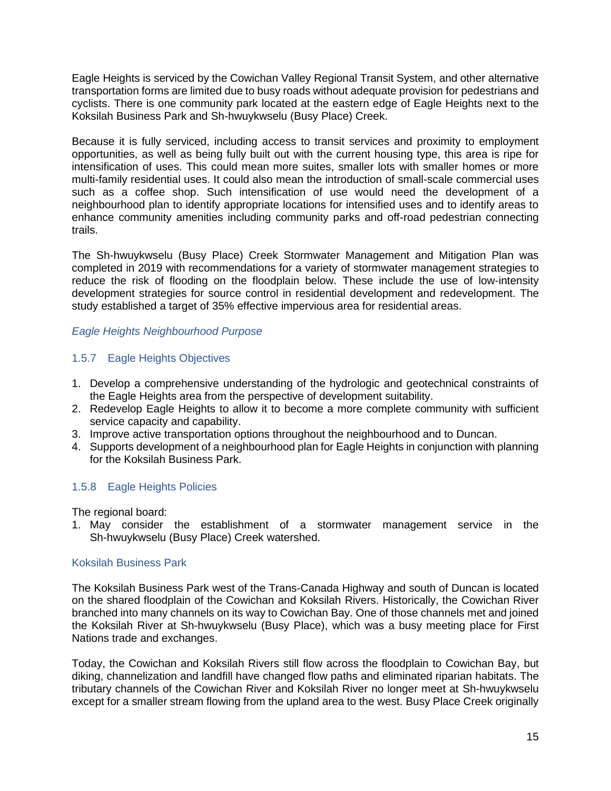Eagle Heights is serviced by the Cowichan Valley Regional Transit System, and other alternative transportation forms are limited due to busy roads without adequate provision for pedestrians and cyclists. There is one community park located at the eastern edge of Eagle Heights next to the Koksilah Business Park and Sh-hwuykwselu (Busy Place) Creek.

Because it is fully serviced, including access to transit services and proximity to employment opportunities, as well as being fully built out with the current housing type, this area is ripe for intensification of uses. This could mean more suites, smaller lots with smaller homes or more multi-family residential uses. It could also mean the introduction of small-scale commercial uses such as a coffee shop. Such intensification of use would need the development of a neighbourhood plan to identify appropriate locations for intensified uses and to identify areas to enhance community amenities including community parks and off-road pedestrian connecting trails.

The Sh-hwuykwselu (Busy Place) Creek Stormwater Management and Mitigation Plan was completed in 2019 with recommendations for a variety of stormwater management strategies to reduce the risk of flooding on the floodplain below. These include the use of low-intensity development strategies for source control in residential development and redevelopment. The study established a target of 35% effective impervious area for residential areas.

### *Eagle Heights Neighbourhood Purpose*

# 1.5.7 Eagle Heights Objectives

- 1. Develop a comprehensive understanding of the hydrologic and geotechnical constraints of the Eagle Heights area from the perspective of development suitability.
- 2. Redevelop Eagle Heights to allow it to become a more complete community with sufficient service capacity and capability.
- 3. Improve active transportation options throughout the neighbourhood and to Duncan.
- 4. Supports development of a neighbourhood plan for Eagle Heights in conjunction with planning for the Koksilah Business Park.

### 1.5.8 Eagle Heights Policies

The regional board:

1. May consider the establishment of a stormwater management service in the Sh-hwuykwselu (Busy Place) Creek watershed.

### Koksilah Business Park

The Koksilah Business Park west of the Trans-Canada Highway and south of Duncan is located on the shared floodplain of the Cowichan and Koksilah Rivers. Historically, the Cowichan River branched into many channels on its way to Cowichan Bay. One of those channels met and joined the Koksilah River at Sh-hwuykwselu (Busy Place), which was a busy meeting place for First Nations trade and exchanges.

Today, the Cowichan and Koksilah Rivers still flow across the floodplain to Cowichan Bay, but diking, channelization and landfill have changed flow paths and eliminated riparian habitats. The tributary channels of the Cowichan River and Koksilah River no longer meet at Sh-hwuykwselu except for a smaller stream flowing from the upland area to the west. Busy Place Creek originally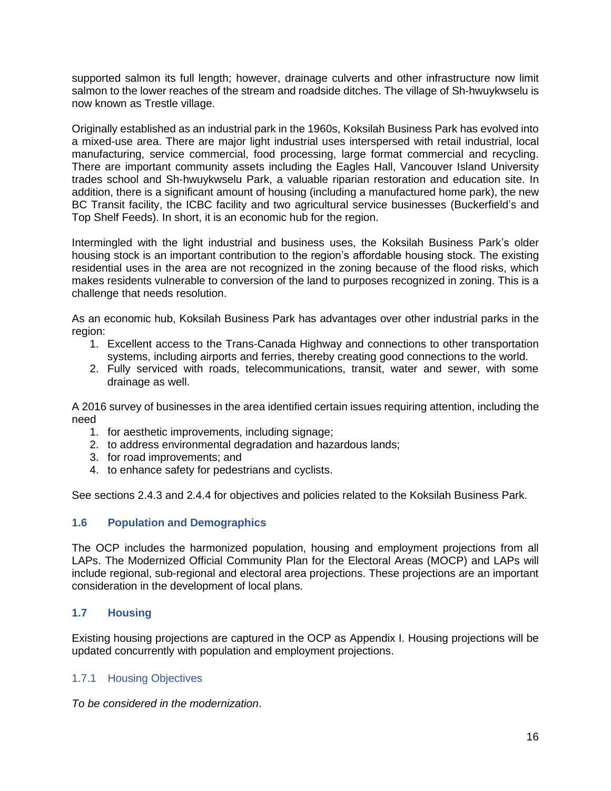supported salmon its full length; however, drainage culverts and other infrastructure now limit salmon to the lower reaches of the stream and roadside ditches. The village of Sh-hwuykwselu is now known as Trestle village.

Originally established as an industrial park in the 1960s, Koksilah Business Park has evolved into a mixed-use area. There are major light industrial uses interspersed with retail industrial, local manufacturing, service commercial, food processing, large format commercial and recycling. There are important community assets including the Eagles Hall, Vancouver Island University trades school and Sh-hwuykwselu Park, a valuable riparian restoration and education site. In addition, there is a significant amount of housing (including a manufactured home park), the new BC Transit facility, the ICBC facility and two agricultural service businesses (Buckerfield's and Top Shelf Feeds). In short, it is an economic hub for the region.

Intermingled with the light industrial and business uses, the Koksilah Business Park's older housing stock is an important contribution to the region's affordable housing stock. The existing residential uses in the area are not recognized in the zoning because of the flood risks, which makes residents vulnerable to conversion of the land to purposes recognized in zoning. This is a challenge that needs resolution.

As an economic hub, Koksilah Business Park has advantages over other industrial parks in the region:

- 1. Excellent access to the Trans-Canada Highway and connections to other transportation systems, including airports and ferries, thereby creating good connections to the world.
- 2. Fully serviced with roads, telecommunications, transit, water and sewer, with some drainage as well.

A 2016 survey of businesses in the area identified certain issues requiring attention, including the need

- 1. for aesthetic improvements, including signage;
- 2. to address environmental degradation and hazardous lands;
- 3. for road improvements; and
- 4. to enhance safety for pedestrians and cyclists.

See sections 2.4.3 and 2.4.4 for objectives and policies related to the Koksilah Business Park.

### **1.6 Population and Demographics**

The OCP includes the harmonized population, housing and employment projections from all LAPs. The Modernized Official Community Plan for the Electoral Areas (MOCP) and LAPs will include regional, sub-regional and electoral area projections. These projections are an important consideration in the development of local plans.

### **1.7 Housing**

Existing housing projections are captured in the OCP as Appendix I. Housing projections will be updated concurrently with population and employment projections.

### 1.7.1 Housing Objectives

*To be considered in the modernization*.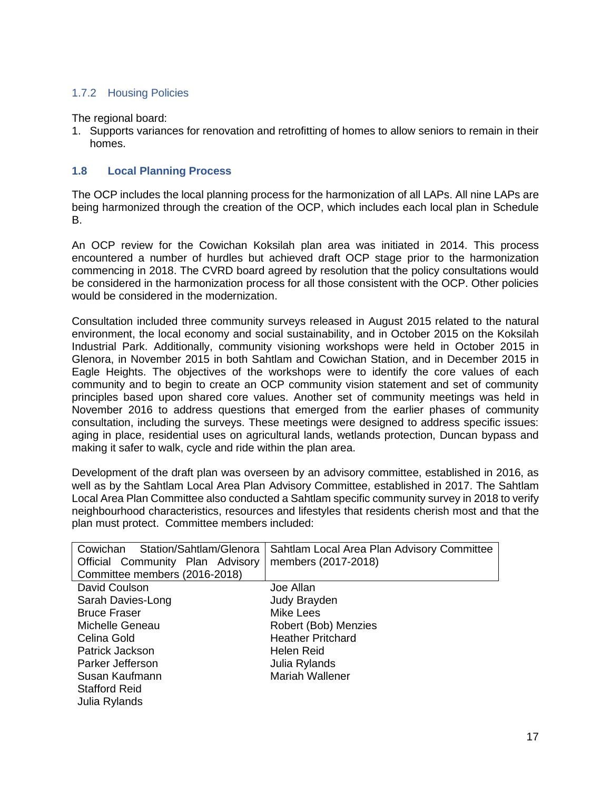# 1.7.2 Housing Policies

The regional board:

1. Supports variances for renovation and retrofitting of homes to allow seniors to remain in their homes.

### **1.8 Local Planning Process**

The OCP includes the local planning process for the harmonization of all LAPs. All nine LAPs are being harmonized through the creation of the OCP, which includes each local plan in Schedule B.

An OCP review for the Cowichan Koksilah plan area was initiated in 2014. This process encountered a number of hurdles but achieved draft OCP stage prior to the harmonization commencing in 2018. The CVRD board agreed by resolution that the policy consultations would be considered in the harmonization process for all those consistent with the OCP. Other policies would be considered in the modernization.

Consultation included three community surveys released in August 2015 related to the natural environment, the local economy and social sustainability, and in October 2015 on the Koksilah Industrial Park. Additionally, community visioning workshops were held in October 2015 in Glenora, in November 2015 in both Sahtlam and Cowichan Station, and in December 2015 in Eagle Heights. The objectives of the workshops were to identify the core values of each community and to begin to create an OCP community vision statement and set of community principles based upon shared core values. Another set of community meetings was held in November 2016 to address questions that emerged from the earlier phases of community consultation, including the surveys. These meetings were designed to address specific issues: aging in place, residential uses on agricultural lands, wetlands protection, Duncan bypass and making it safer to walk, cycle and ride within the plan area.

Development of the draft plan was overseen by an advisory committee, established in 2016, as well as by the Sahtlam Local Area Plan Advisory Committee, established in 2017. The Sahtlam Local Area Plan Committee also conducted a Sahtlam specific community survey in 2018 to verify neighbourhood characteristics, resources and lifestyles that residents cherish most and that the plan must protect. Committee members included:

| Cowichan Station/Sahtlam/Glenora | Sahtlam Local Area Plan Advisory Committee |  |  |
|----------------------------------|--------------------------------------------|--|--|
| Official Community Plan Advisory | members (2017-2018)                        |  |  |
| Committee members (2016-2018)    |                                            |  |  |
| David Coulson                    | Joe Allan                                  |  |  |
| Sarah Davies-Long                | Judy Brayden                               |  |  |
| <b>Bruce Fraser</b>              | Mike Lees                                  |  |  |
| Michelle Geneau                  | Robert (Bob) Menzies                       |  |  |
| Celina Gold                      | <b>Heather Pritchard</b>                   |  |  |
| Patrick Jackson                  | Helen Reid                                 |  |  |
| Parker Jefferson                 | Julia Rylands                              |  |  |
| Susan Kaufmann                   | <b>Mariah Wallener</b>                     |  |  |
| <b>Stafford Reid</b>             |                                            |  |  |
| Julia Rylands                    |                                            |  |  |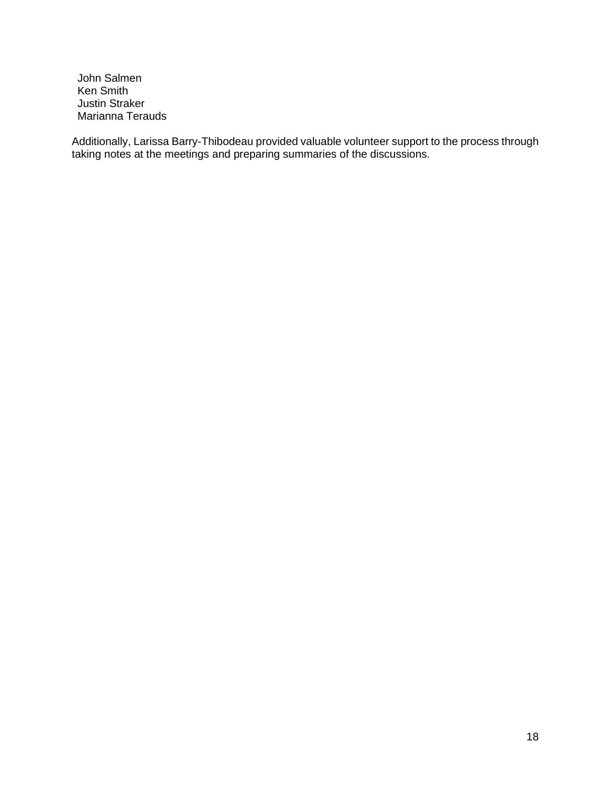John Salmen Ken Smith Justin Straker Marianna Terauds

Additionally, Larissa Barry-Thibodeau provided valuable volunteer support to the process through taking notes at the meetings and preparing summaries of the discussions.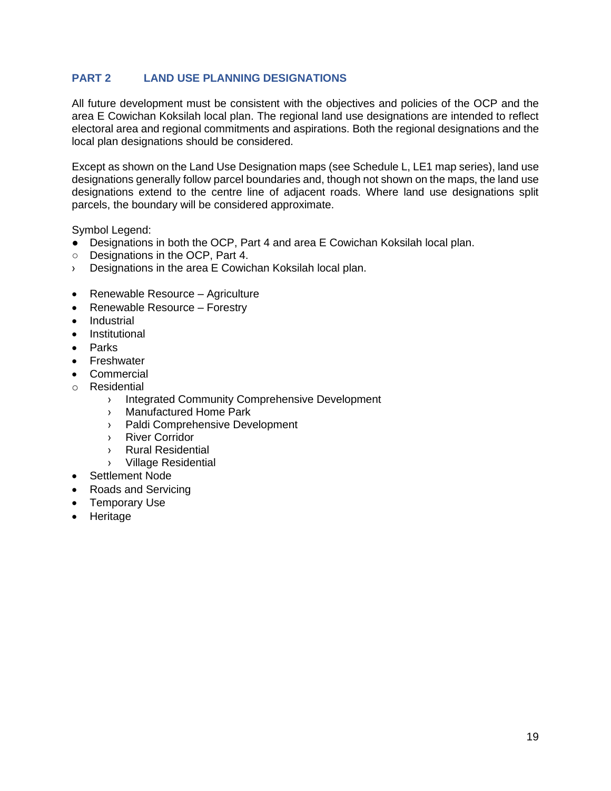# **PART 2 LAND USE PLANNING DESIGNATIONS**

All future development must be consistent with the objectives and policies of the OCP and the area E Cowichan Koksilah local plan. The regional land use designations are intended to reflect electoral area and regional commitments and aspirations. Both the regional designations and the local plan designations should be considered.

Except as shown on the Land Use Designation maps (see Schedule L, LE1 map series), land use designations generally follow parcel boundaries and, though not shown on the maps, the land use designations extend to the centre line of adjacent roads. Where land use designations split parcels, the boundary will be considered approximate.

Symbol Legend:

- Designations in both the OCP, Part 4 and area E Cowichan Koksilah local plan.
- Designations in the OCP, Part 4.
- › Designations in the area E Cowichan Koksilah local plan.
- Renewable Resource Agriculture
- Renewable Resource Forestry
- Industrial
- Institutional
- Parks
- **Freshwater**
- **Commercial**
- o Residential
	- › Integrated Community Comprehensive Development
	- › Manufactured Home Park
	- › Paldi Comprehensive Development
	- › River Corridor
	- › Rural Residential
	- › Village Residential
- Settlement Node
- Roads and Servicing
- Temporary Use
- Heritage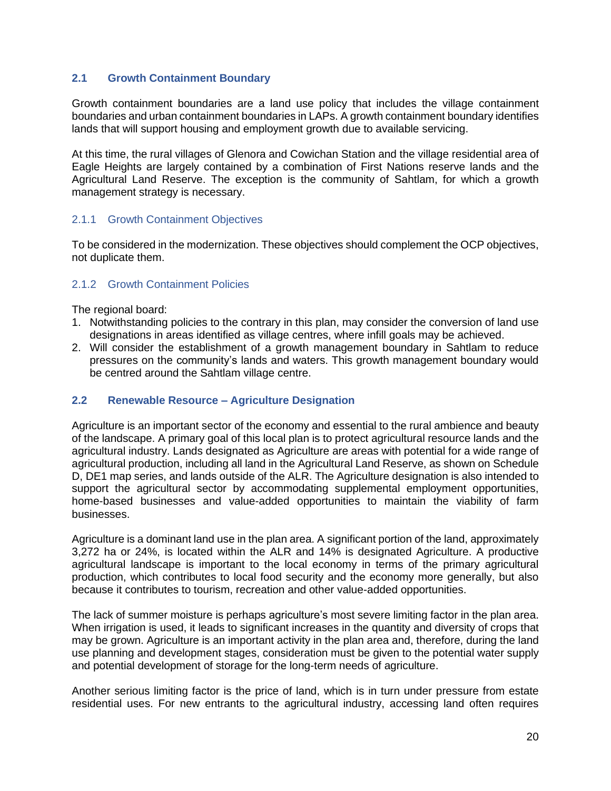### **2.1 Growth Containment Boundary**

Growth containment boundaries are a land use policy that includes the village containment boundaries and urban containment boundaries in LAPs. A growth containment boundary identifies lands that will support housing and employment growth due to available servicing.

At this time, the rural villages of Glenora and Cowichan Station and the village residential area of Eagle Heights are largely contained by a combination of First Nations reserve lands and the Agricultural Land Reserve. The exception is the community of Sahtlam, for which a growth management strategy is necessary.

#### 2.1.1 Growth Containment Objectives

To be considered in the modernization. These objectives should complement the OCP objectives, not duplicate them.

#### 2.1.2 Growth Containment Policies

The regional board:

- 1. Notwithstanding policies to the contrary in this plan, may consider the conversion of land use designations in areas identified as village centres, where infill goals may be achieved.
- 2. Will consider the establishment of a growth management boundary in Sahtlam to reduce pressures on the community's lands and waters. This growth management boundary would be centred around the Sahtlam village centre.

#### **2.2 Renewable Resource – Agriculture Designation**

Agriculture is an important sector of the economy and essential to the rural ambience and beauty of the landscape. A primary goal of this local plan is to protect agricultural resource lands and the agricultural industry. Lands designated as Agriculture are areas with potential for a wide range of agricultural production, including all land in the Agricultural Land Reserve, as shown on Schedule D, DE1 map series, and lands outside of the ALR. The Agriculture designation is also intended to support the agricultural sector by accommodating supplemental employment opportunities, home-based businesses and value-added opportunities to maintain the viability of farm businesses.

Agriculture is a dominant land use in the plan area. A significant portion of the land, approximately 3,272 ha or 24%, is located within the ALR and 14% is designated Agriculture. A productive agricultural landscape is important to the local economy in terms of the primary agricultural production, which contributes to local food security and the economy more generally, but also because it contributes to tourism, recreation and other value-added opportunities.

The lack of summer moisture is perhaps agriculture's most severe limiting factor in the plan area. When irrigation is used, it leads to significant increases in the quantity and diversity of crops that may be grown. Agriculture is an important activity in the plan area and, therefore, during the land use planning and development stages, consideration must be given to the potential water supply and potential development of storage for the long-term needs of agriculture.

Another serious limiting factor is the price of land, which is in turn under pressure from estate residential uses. For new entrants to the agricultural industry, accessing land often requires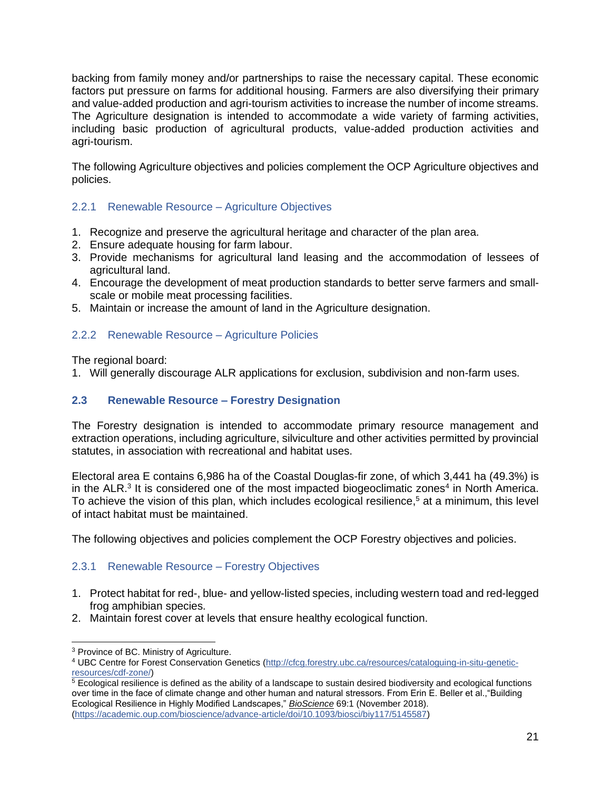backing from family money and/or partnerships to raise the necessary capital. These economic factors put pressure on farms for additional housing. Farmers are also diversifying their primary and value-added production and agri-tourism activities to increase the number of income streams. The Agriculture designation is intended to accommodate a wide variety of farming activities, including basic production of agricultural products, value-added production activities and agri-tourism.

The following Agriculture objectives and policies complement the OCP Agriculture objectives and policies.

# 2.2.1 Renewable Resource – Agriculture Objectives

- 1. Recognize and preserve the agricultural heritage and character of the plan area.
- 2. Ensure adequate housing for farm labour.
- 3. Provide mechanisms for agricultural land leasing and the accommodation of lessees of agricultural land.
- 4. Encourage the development of meat production standards to better serve farmers and smallscale or mobile meat processing facilities.
- 5. Maintain or increase the amount of land in the Agriculture designation.

# 2.2.2 Renewable Resource – Agriculture Policies

The regional board:

1. Will generally discourage ALR applications for exclusion, subdivision and non-farm uses.

# **2.3 Renewable Resource – Forestry Designation**

The Forestry designation is intended to accommodate primary resource management and extraction operations, including agriculture, silviculture and other activities permitted by provincial statutes, in association with recreational and habitat uses.

Electoral area E contains 6,986 ha of the Coastal Douglas-fir zone, of which 3,441 ha (49.3%) is in the ALR.<sup>3</sup> It is considered one of the most impacted biogeoclimatic zones<sup>4</sup> in North America. To achieve the vision of this plan, which includes ecological resilience, <sup>5</sup> at a minimum, this level of intact habitat must be maintained.

The following objectives and policies complement the OCP Forestry objectives and policies.

# 2.3.1 Renewable Resource – Forestry Objectives

- 1. Protect habitat for red-, blue- and yellow-listed species, including western toad and red-legged frog amphibian species.
- 2. Maintain forest cover at levels that ensure healthy ecological function.

<sup>3</sup> Province of BC. Ministry of Agriculture.

<sup>4</sup> UBC Centre for Forest Conservation Genetics [\(http://cfcg.forestry.ubc.ca/resources/cataloguing-in-situ-genetic](http://cfcg.forestry.ubc.ca/resources/cataloguing-in-situ-genetic-resources/cdf-zone/)[resources/cdf-zone/\)](http://cfcg.forestry.ubc.ca/resources/cataloguing-in-situ-genetic-resources/cdf-zone/)

 $5$  Ecological resilience is defined as the ability of a landscape to sustain desired biodiversity and ecological functions over time in the face of climate change and other human and natural stressors. From Erin E. Beller et al.,"Building Ecological Resilience in Highly Modified Landscapes," *BioScience* 69:1 (November 2018). [\(https://academic.oup.com/bioscience/advance-article/doi/10.1093/biosci/biy117/5145587\)](https://academic.oup.com/bioscience/advance-article/doi/10.1093/biosci/biy117/5145587)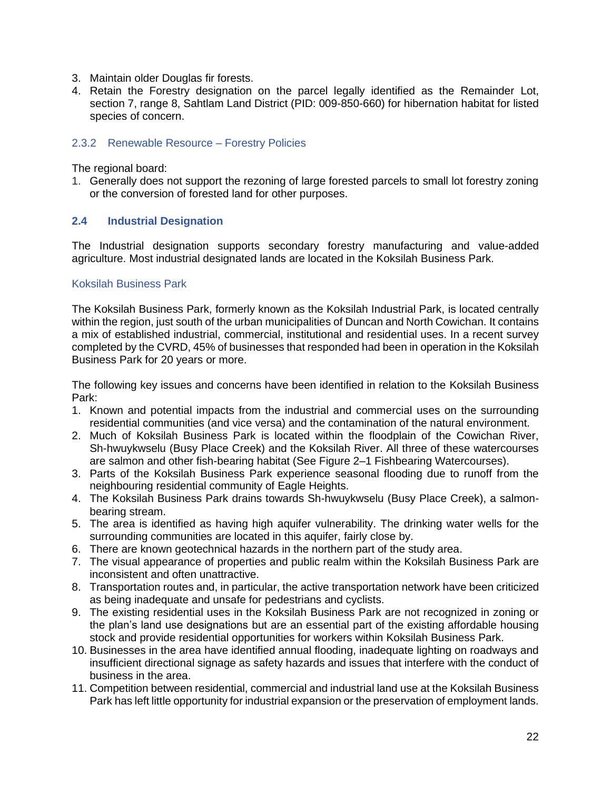- 3. Maintain older Douglas fir forests.
- 4. Retain the Forestry designation on the parcel legally identified as the Remainder Lot, section 7, range 8, Sahtlam Land District (PID: 009-850-660) for hibernation habitat for listed species of concern.

### 2.3.2 Renewable Resource – Forestry Policies

The regional board:

1. Generally does not support the rezoning of large forested parcels to small lot forestry zoning or the conversion of forested land for other purposes.

### **2.4 Industrial Designation**

The Industrial designation supports secondary forestry manufacturing and value-added agriculture. Most industrial designated lands are located in the Koksilah Business Park.

#### Koksilah Business Park

The Koksilah Business Park, formerly known as the Koksilah Industrial Park, is located centrally within the region, just south of the urban municipalities of Duncan and North Cowichan. It contains a mix of established industrial, commercial, institutional and residential uses. In a recent survey completed by the CVRD, 45% of businesses that responded had been in operation in the Koksilah Business Park for 20 years or more.

The following key issues and concerns have been identified in relation to the Koksilah Business Park:

- 1. Known and potential impacts from the industrial and commercial uses on the surrounding residential communities (and vice versa) and the contamination of the natural environment.
- 2. Much of Koksilah Business Park is located within the floodplain of the Cowichan River, Sh-hwuykwselu (Busy Place Creek) and the Koksilah River. All three of these watercourses are salmon and other fish-bearing habitat (See Figure 2–1 Fishbearing Watercourses).
- 3. Parts of the Koksilah Business Park experience seasonal flooding due to runoff from the neighbouring residential community of Eagle Heights.
- 4. The Koksilah Business Park drains towards Sh-hwuykwselu (Busy Place Creek), a salmonbearing stream.
- 5. The area is identified as having high aquifer vulnerability. The drinking water wells for the surrounding communities are located in this aquifer, fairly close by.
- 6. There are known geotechnical hazards in the northern part of the study area.
- 7. The visual appearance of properties and public realm within the Koksilah Business Park are inconsistent and often unattractive.
- 8. Transportation routes and, in particular, the active transportation network have been criticized as being inadequate and unsafe for pedestrians and cyclists.
- 9. The existing residential uses in the Koksilah Business Park are not recognized in zoning or the plan's land use designations but are an essential part of the existing affordable housing stock and provide residential opportunities for workers within Koksilah Business Park.
- 10. Businesses in the area have identified annual flooding, inadequate lighting on roadways and insufficient directional signage as safety hazards and issues that interfere with the conduct of business in the area.
- 11. Competition between residential, commercial and industrial land use at the Koksilah Business Park has left little opportunity for industrial expansion or the preservation of employment lands.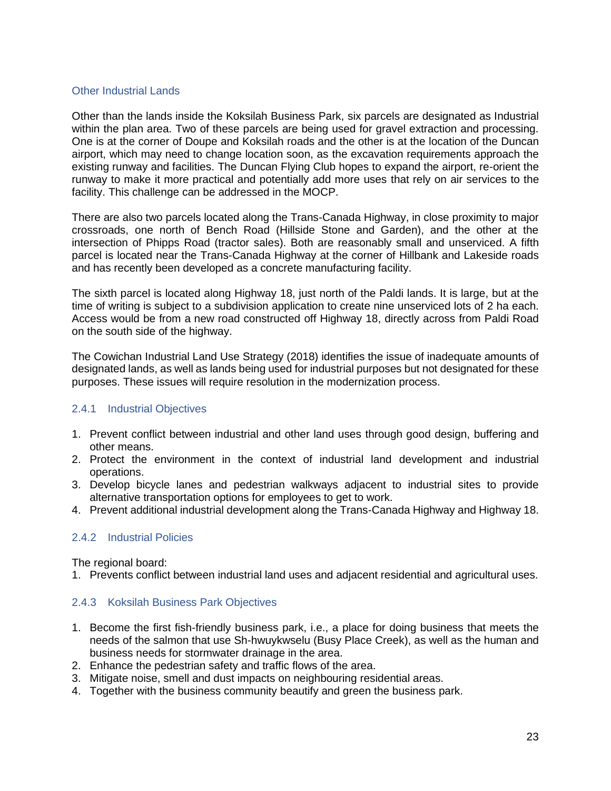### Other Industrial Lands

Other than the lands inside the Koksilah Business Park, six parcels are designated as Industrial within the plan area. Two of these parcels are being used for gravel extraction and processing. One is at the corner of Doupe and Koksilah roads and the other is at the location of the Duncan airport, which may need to change location soon, as the excavation requirements approach the existing runway and facilities. The Duncan Flying Club hopes to expand the airport, re-orient the runway to make it more practical and potentially add more uses that rely on air services to the facility. This challenge can be addressed in the MOCP.

There are also two parcels located along the Trans-Canada Highway, in close proximity to major crossroads, one north of Bench Road (Hillside Stone and Garden), and the other at the intersection of Phipps Road (tractor sales). Both are reasonably small and unserviced. A fifth parcel is located near the Trans-Canada Highway at the corner of Hillbank and Lakeside roads and has recently been developed as a concrete manufacturing facility.

The sixth parcel is located along Highway 18, just north of the Paldi lands. It is large, but at the time of writing is subject to a subdivision application to create nine unserviced lots of 2 ha each. Access would be from a new road constructed off Highway 18, directly across from Paldi Road on the south side of the highway.

The Cowichan Industrial Land Use Strategy (2018) identifies the issue of inadequate amounts of designated lands, as well as lands being used for industrial purposes but not designated for these purposes. These issues will require resolution in the modernization process.

### 2.4.1 Industrial Objectives

- 1. Prevent conflict between industrial and other land uses through good design, buffering and other means.
- 2. Protect the environment in the context of industrial land development and industrial operations.
- 3. Develop bicycle lanes and pedestrian walkways adjacent to industrial sites to provide alternative transportation options for employees to get to work.
- 4. Prevent additional industrial development along the Trans-Canada Highway and Highway 18.

### 2.4.2 Industrial Policies

The regional board:

1. Prevents conflict between industrial land uses and adjacent residential and agricultural uses.

### 2.4.3 Koksilah Business Park Objectives

- 1. Become the first fish-friendly business park, i.e., a place for doing business that meets the needs of the salmon that use Sh-hwuykwselu (Busy Place Creek), as well as the human and business needs for stormwater drainage in the area.
- 2. Enhance the pedestrian safety and traffic flows of the area.
- 3. Mitigate noise, smell and dust impacts on neighbouring residential areas.
- 4. Together with the business community beautify and green the business park.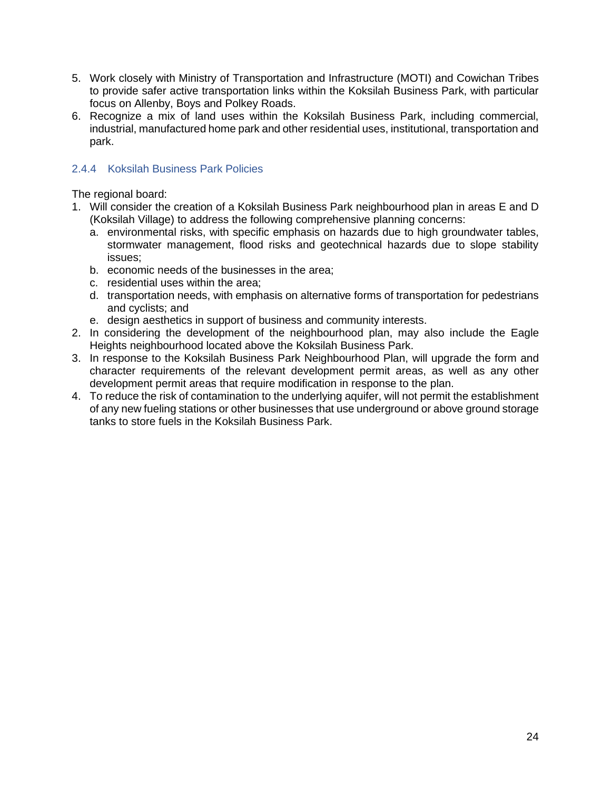- 5. Work closely with Ministry of Transportation and Infrastructure (MOTI) and Cowichan Tribes to provide safer active transportation links within the Koksilah Business Park, with particular focus on Allenby, Boys and Polkey Roads.
- 6. Recognize a mix of land uses within the Koksilah Business Park, including commercial, industrial, manufactured home park and other residential uses, institutional, transportation and park.

# 2.4.4 Koksilah Business Park Policies

The regional board:

- 1. Will consider the creation of a Koksilah Business Park neighbourhood plan in areas E and D (Koksilah Village) to address the following comprehensive planning concerns:
	- a. environmental risks, with specific emphasis on hazards due to high groundwater tables, stormwater management, flood risks and geotechnical hazards due to slope stability issues;
	- b. economic needs of the businesses in the area;
	- c. residential uses within the area;
	- d. transportation needs, with emphasis on alternative forms of transportation for pedestrians and cyclists; and
	- e. design aesthetics in support of business and community interests.
- 2. In considering the development of the neighbourhood plan, may also include the Eagle Heights neighbourhood located above the Koksilah Business Park.
- 3. In response to the Koksilah Business Park Neighbourhood Plan, will upgrade the form and character requirements of the relevant development permit areas, as well as any other development permit areas that require modification in response to the plan.
- 4. To reduce the risk of contamination to the underlying aquifer, will not permit the establishment of any new fueling stations or other businesses that use underground or above ground storage tanks to store fuels in the Koksilah Business Park.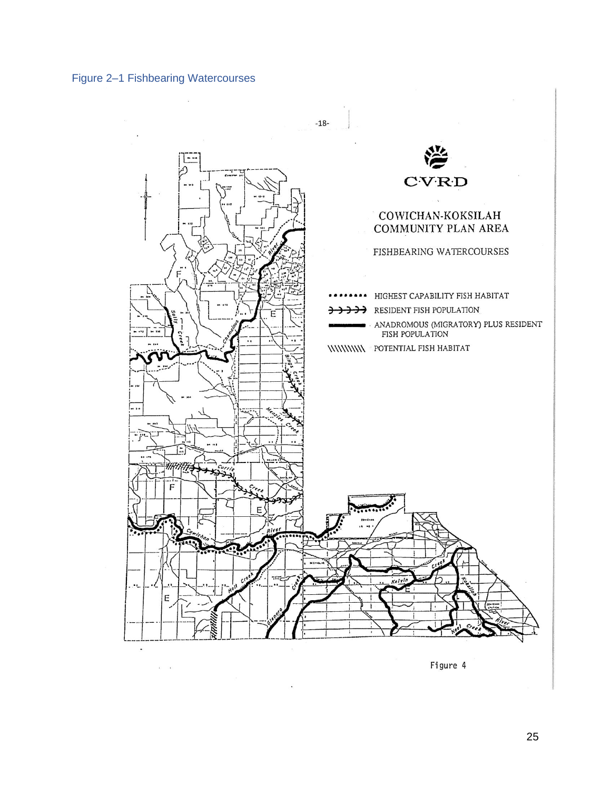<span id="page-26-0"></span>

 $\bar{\alpha}$  $\widetilde{\mathbf{r}}_0$ 



Figure 4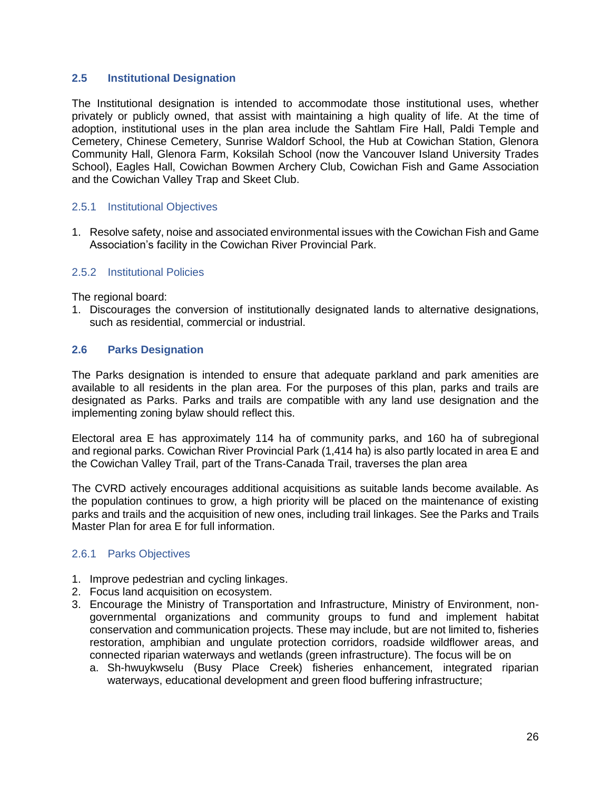### **2.5 Institutional Designation**

The Institutional designation is intended to accommodate those institutional uses, whether privately or publicly owned, that assist with maintaining a high quality of life. At the time of adoption, institutional uses in the plan area include the Sahtlam Fire Hall, Paldi Temple and Cemetery, Chinese Cemetery, Sunrise Waldorf School, the Hub at Cowichan Station, Glenora Community Hall, Glenora Farm, Koksilah School (now the Vancouver Island University Trades School), Eagles Hall, Cowichan Bowmen Archery Club, Cowichan Fish and Game Association and the Cowichan Valley Trap and Skeet Club.

#### 2.5.1 Institutional Objectives

1. Resolve safety, noise and associated environmental issues with the Cowichan Fish and Game Association's facility in the Cowichan River Provincial Park.

#### 2.5.2 Institutional Policies

The regional board:

1. Discourages the conversion of institutionally designated lands to alternative designations, such as residential, commercial or industrial.

#### **2.6 Parks Designation**

The Parks designation is intended to ensure that adequate parkland and park amenities are available to all residents in the plan area. For the purposes of this plan, parks and trails are designated as Parks. Parks and trails are compatible with any land use designation and the implementing zoning bylaw should reflect this.

Electoral area E has approximately 114 ha of community parks, and 160 ha of subregional and regional parks. Cowichan River Provincial Park (1,414 ha) is also partly located in area E and the Cowichan Valley Trail, part of the Trans-Canada Trail, traverses the plan area

The CVRD actively encourages additional acquisitions as suitable lands become available. As the population continues to grow, a high priority will be placed on the maintenance of existing parks and trails and the acquisition of new ones, including trail linkages. See the Parks and Trails Master Plan for area E for full information.

### 2.6.1 Parks Objectives

- 1. Improve pedestrian and cycling linkages.
- 2. Focus land acquisition on ecosystem.
- 3. Encourage the Ministry of Transportation and Infrastructure, Ministry of Environment, nongovernmental organizations and community groups to fund and implement habitat conservation and communication projects. These may include, but are not limited to, fisheries restoration, amphibian and ungulate protection corridors, roadside wildflower areas, and connected riparian waterways and wetlands (green infrastructure). The focus will be on
	- a. Sh-hwuykwselu (Busy Place Creek) fisheries enhancement, integrated riparian waterways, educational development and green flood buffering infrastructure;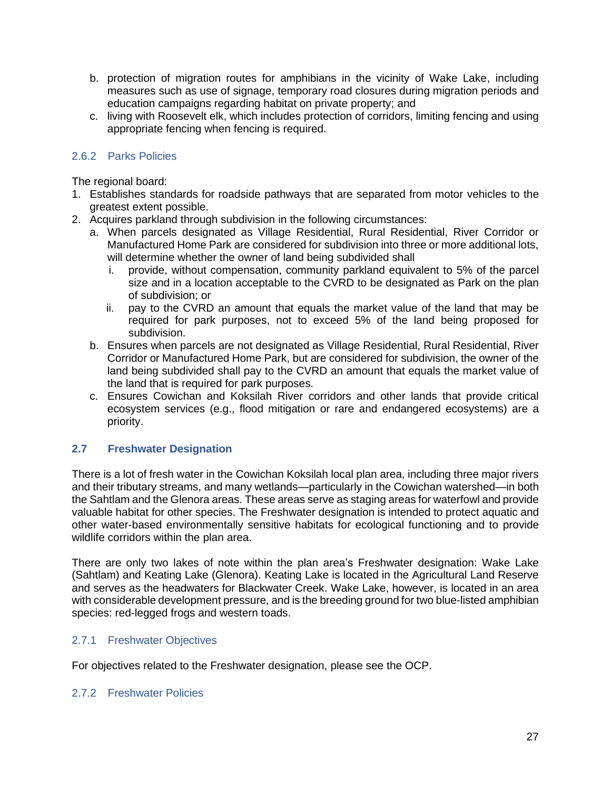- b. protection of migration routes for amphibians in the vicinity of Wake Lake, including measures such as use of signage, temporary road closures during migration periods and education campaigns regarding habitat on private property; and
- c. living with Roosevelt elk, which includes protection of corridors, limiting fencing and using appropriate fencing when fencing is required.

## 2.6.2 Parks Policies

The regional board:

- 1. Establishes standards for roadside pathways that are separated from motor vehicles to the greatest extent possible.
- 2. Acquires parkland through subdivision in the following circumstances:
	- a. When parcels designated as Village Residential, Rural Residential, River Corridor or Manufactured Home Park are considered for subdivision into three or more additional lots, will determine whether the owner of land being subdivided shall
		- i. provide, without compensation, community parkland equivalent to 5% of the parcel size and in a location acceptable to the CVRD to be designated as Park on the plan of subdivision; or
		- ii. pay to the CVRD an amount that equals the market value of the land that may be required for park purposes, not to exceed 5% of the land being proposed for subdivision.
	- b. Ensures when parcels are not designated as Village Residential, Rural Residential, River Corridor or Manufactured Home Park, but are considered for subdivision, the owner of the land being subdivided shall pay to the CVRD an amount that equals the market value of the land that is required for park purposes.
	- c. Ensures Cowichan and Koksilah River corridors and other lands that provide critical ecosystem services (e.g., flood mitigation or rare and endangered ecosystems) are a priority.

### **2.7 Freshwater Designation**

There is a lot of fresh water in the Cowichan Koksilah local plan area, including three major rivers and their tributary streams, and many wetlands—particularly in the Cowichan watershed—in both the Sahtlam and the Glenora areas. These areas serve as staging areas for waterfowl and provide valuable habitat for other species. The Freshwater designation is intended to protect aquatic and other water-based environmentally sensitive habitats for ecological functioning and to provide wildlife corridors within the plan area.

There are only two lakes of note within the plan area's Freshwater designation: Wake Lake (Sahtlam) and Keating Lake (Glenora). Keating Lake is located in the Agricultural Land Reserve and serves as the headwaters for Blackwater Creek. Wake Lake, however, is located in an area with considerable development pressure, and is the breeding ground for two blue-listed amphibian species: red-legged frogs and western toads.

### 2.7.1 Freshwater Objectives

For objectives related to the Freshwater designation, please see the OCP.

#### 2.7.2 Freshwater Policies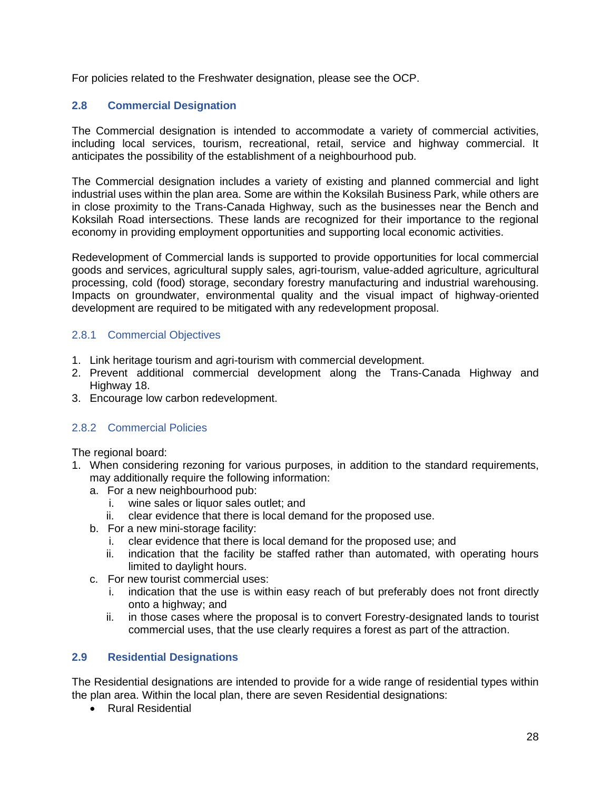For policies related to the Freshwater designation, please see the OCP.

# **2.8 Commercial Designation**

The Commercial designation is intended to accommodate a variety of commercial activities, including local services, tourism, recreational, retail, service and highway commercial. It anticipates the possibility of the establishment of a neighbourhood pub.

The Commercial designation includes a variety of existing and planned commercial and light industrial uses within the plan area. Some are within the Koksilah Business Park, while others are in close proximity to the Trans-Canada Highway, such as the businesses near the Bench and Koksilah Road intersections. These lands are recognized for their importance to the regional economy in providing employment opportunities and supporting local economic activities.

Redevelopment of Commercial lands is supported to provide opportunities for local commercial goods and services, agricultural supply sales, agri-tourism, value-added agriculture, agricultural processing, cold (food) storage, secondary forestry manufacturing and industrial warehousing. Impacts on groundwater, environmental quality and the visual impact of highway-oriented development are required to be mitigated with any redevelopment proposal.

# 2.8.1 Commercial Objectives

- 1. Link heritage tourism and agri-tourism with commercial development.
- 2. Prevent additional commercial development along the Trans-Canada Highway and Highway 18.
- 3. Encourage low carbon redevelopment.

### 2.8.2 Commercial Policies

The regional board:

- 1. When considering rezoning for various purposes, in addition to the standard requirements, may additionally require the following information:
	- a. For a new neighbourhood pub:
		- i. wine sales or liquor sales outlet; and
		- ii. clear evidence that there is local demand for the proposed use.
	- b. For a new mini-storage facility:
		- i. clear evidence that there is local demand for the proposed use; and
		- ii. indication that the facility be staffed rather than automated, with operating hours limited to daylight hours.
	- c. For new tourist commercial uses:
		- i. indication that the use is within easy reach of but preferably does not front directly onto a highway; and
		- ii. in those cases where the proposal is to convert Forestry-designated lands to tourist commercial uses, that the use clearly requires a forest as part of the attraction.

### **2.9 Residential Designations**

The Residential designations are intended to provide for a wide range of residential types within the plan area. Within the local plan, there are seven Residential designations:

• Rural Residential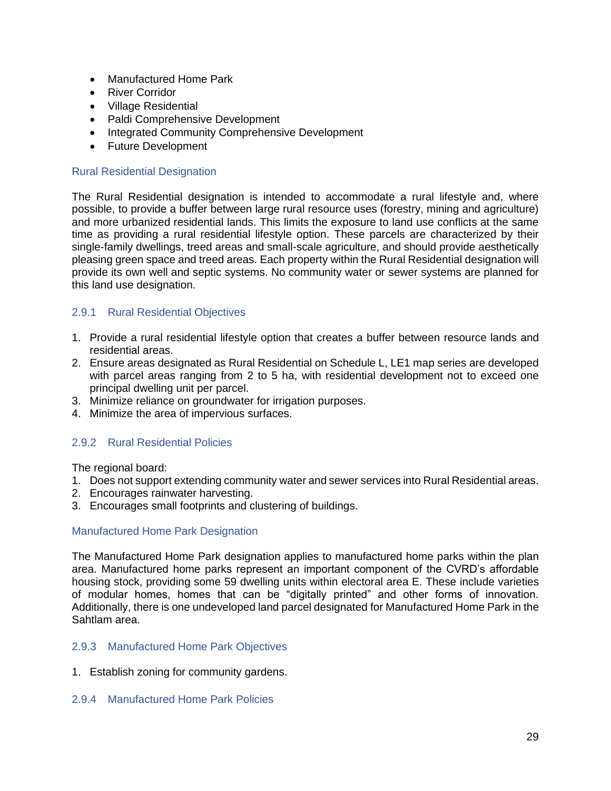- Manufactured Home Park
- River Corridor
- Village Residential
- Paldi Comprehensive Development
- Integrated Community Comprehensive Development
- Future Development

### Rural Residential Designation

The Rural Residential designation is intended to accommodate a rural lifestyle and, where possible, to provide a buffer between large rural resource uses (forestry, mining and agriculture) and more urbanized residential lands. This limits the exposure to land use conflicts at the same time as providing a rural residential lifestyle option. These parcels are characterized by their single-family dwellings, treed areas and small-scale agriculture, and should provide aesthetically pleasing green space and treed areas. Each property within the Rural Residential designation will provide its own well and septic systems. No community water or sewer systems are planned for this land use designation.

### 2.9.1 Rural Residential Objectives

- 1. Provide a rural residential lifestyle option that creates a buffer between resource lands and residential areas.
- 2. Ensure areas designated as Rural Residential on Schedule L, LE1 map series are developed with parcel areas ranging from 2 to 5 ha, with residential development not to exceed one principal dwelling unit per parcel.
- 3. Minimize reliance on groundwater for irrigation purposes.
- 4. Minimize the area of impervious surfaces.

### 2.9.2 Rural Residential Policies

The regional board:

- 1. Does not support extending community water and sewer services into Rural Residential areas.
- 2. Encourages rainwater harvesting.
- 3. Encourages small footprints and clustering of buildings.

#### Manufactured Home Park Designation

The Manufactured Home Park designation applies to manufactured home parks within the plan area. Manufactured home parks represent an important component of the CVRD's affordable housing stock, providing some 59 dwelling units within electoral area E. These include varieties of modular homes, homes that can be "digitally printed" and other forms of innovation. Additionally, there is one undeveloped land parcel designated for Manufactured Home Park in the Sahtlam area.

### 2.9.3 Manufactured Home Park Objectives

1. Establish zoning for community gardens.

#### 2.9.4 Manufactured Home Park Policies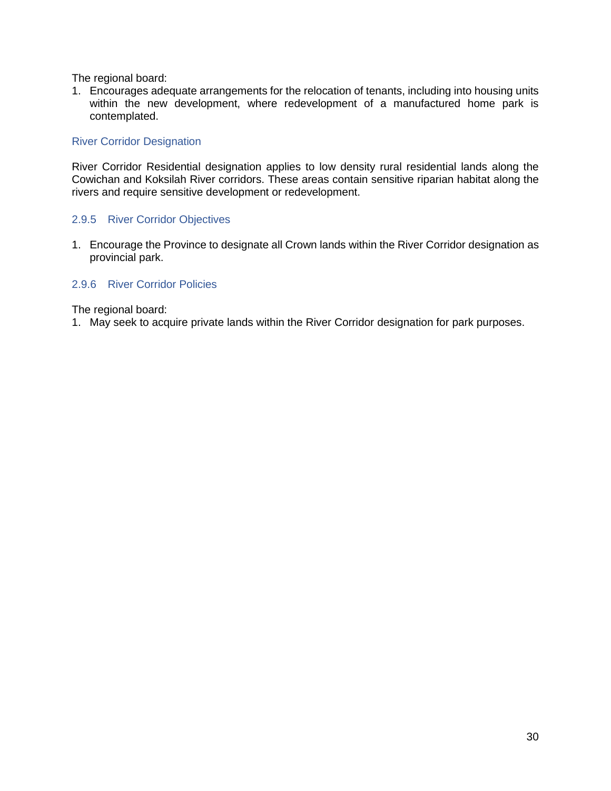The regional board:

1. Encourages adequate arrangements for the relocation of tenants, including into housing units within the new development, where redevelopment of a manufactured home park is contemplated.

### River Corridor Designation

River Corridor Residential designation applies to low density rural residential lands along the Cowichan and Koksilah River corridors. These areas contain sensitive riparian habitat along the rivers and require sensitive development or redevelopment.

#### 2.9.5 River Corridor Objectives

1. Encourage the Province to designate all Crown lands within the River Corridor designation as provincial park.

#### 2.9.6 River Corridor Policies

The regional board:

1. May seek to acquire private lands within the River Corridor designation for park purposes.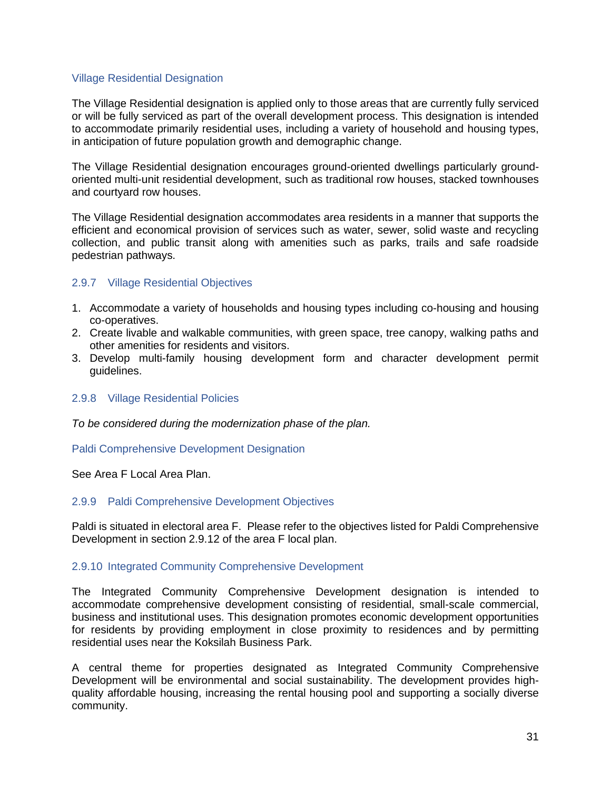#### Village Residential Designation

The Village Residential designation is applied only to those areas that are currently fully serviced or will be fully serviced as part of the overall development process. This designation is intended to accommodate primarily residential uses, including a variety of household and housing types, in anticipation of future population growth and demographic change.

The Village Residential designation encourages ground-oriented dwellings particularly groundoriented multi-unit residential development, such as traditional row houses, stacked townhouses and courtyard row houses.

The Village Residential designation accommodates area residents in a manner that supports the efficient and economical provision of services such as water, sewer, solid waste and recycling collection, and public transit along with amenities such as parks, trails and safe roadside pedestrian pathways.

#### 2.9.7 Village Residential Objectives

- 1. Accommodate a variety of households and housing types including co-housing and housing co-operatives.
- 2. Create livable and walkable communities, with green space, tree canopy, walking paths and other amenities for residents and visitors.
- 3. Develop multi-family housing development form and character development permit guidelines.

#### 2.9.8 Village Residential Policies

*To be considered during the modernization phase of the plan.*

Paldi Comprehensive Development Designation

See Area F Local Area Plan.

#### 2.9.9 Paldi Comprehensive Development Objectives

Paldi is situated in electoral area F. Please refer to the objectives listed for Paldi Comprehensive Development in section 2.9.12 of the area F local plan.

#### 2.9.10 Integrated Community Comprehensive Development

The Integrated Community Comprehensive Development designation is intended to accommodate comprehensive development consisting of residential, small-scale commercial, business and institutional uses. This designation promotes economic development opportunities for residents by providing employment in close proximity to residences and by permitting residential uses near the Koksilah Business Park.

A central theme for properties designated as Integrated Community Comprehensive Development will be environmental and social sustainability. The development provides highquality affordable housing, increasing the rental housing pool and supporting a socially diverse community.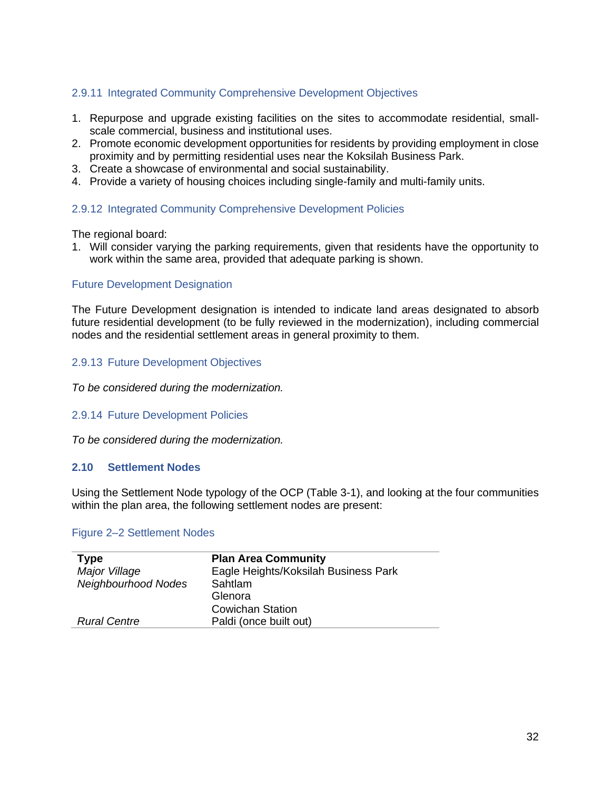# 2.9.11 Integrated Community Comprehensive Development Objectives

- 1. Repurpose and upgrade existing facilities on the sites to accommodate residential, smallscale commercial, business and institutional uses.
- 2. Promote economic development opportunities for residents by providing employment in close proximity and by permitting residential uses near the Koksilah Business Park.
- 3. Create a showcase of environmental and social sustainability.
- 4. Provide a variety of housing choices including single-family and multi-family units.

# 2.9.12 Integrated Community Comprehensive Development Policies

The regional board:

1. Will consider varying the parking requirements, given that residents have the opportunity to work within the same area, provided that adequate parking is shown.

#### Future Development Designation

The Future Development designation is intended to indicate land areas designated to absorb future residential development (to be fully reviewed in the modernization), including commercial nodes and the residential settlement areas in general proximity to them.

#### 2.9.13 Future Development Objectives

*To be considered during the modernization.*

#### 2.9.14 Future Development Policies

*To be considered during the modernization.*

#### **2.10 Settlement Nodes**

Using the Settlement Node typology of the OCP (Table 3-1), and looking at the four communities within the plan area, the following settlement nodes are present:

#### <span id="page-33-0"></span>Figure 2–2 Settlement Nodes

| <b>Type</b>         | <b>Plan Area Community</b>           |
|---------------------|--------------------------------------|
| Major Village       | Eagle Heights/Koksilah Business Park |
| Neighbourhood Nodes | Sahtlam                              |
|                     | Glenora                              |
|                     | <b>Cowichan Station</b>              |
| <b>Rural Centre</b> | Paldi (once built out)               |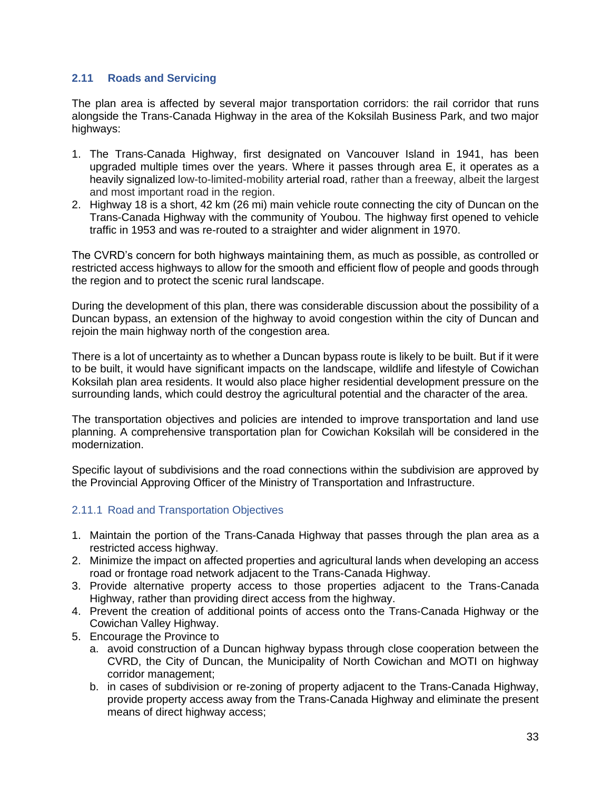# **2.11 Roads and Servicing**

The plan area is affected by several major transportation corridors: the rail corridor that runs alongside the Trans-Canada Highway in the area of the Koksilah Business Park, and two major highways:

- 1. The Trans-Canada Highway, first designated on Vancouver Island in 1941, has been upgraded multiple times over the years. Where it passes through area E, it operates as a heavily signalized low-to-limited-mobility arterial road, rather than a freeway, albeit the largest and most important road in the region.
- 2. Highway 18 is a short, 42 km (26 mi) main vehicle route connecting the city of Duncan on the Trans-Canada Highway with the community of Youbou. The highway first opened to vehicle traffic in 1953 and was re-routed to a straighter and wider alignment in 1970.

The CVRD's concern for both highways maintaining them, as much as possible, as controlled or restricted access highways to allow for the smooth and efficient flow of people and goods through the region and to protect the scenic rural landscape.

During the development of this plan, there was considerable discussion about the possibility of a Duncan bypass, an extension of the highway to avoid congestion within the city of Duncan and reioin the main highway north of the congestion area.

There is a lot of uncertainty as to whether a Duncan bypass route is likely to be built. But if it were to be built, it would have significant impacts on the landscape, wildlife and lifestyle of Cowichan Koksilah plan area residents. It would also place higher residential development pressure on the surrounding lands, which could destroy the agricultural potential and the character of the area.

The transportation objectives and policies are intended to improve transportation and land use planning. A comprehensive transportation plan for Cowichan Koksilah will be considered in the modernization.

Specific layout of subdivisions and the road connections within the subdivision are approved by the Provincial Approving Officer of the Ministry of Transportation and Infrastructure.

### 2.11.1 Road and Transportation Objectives

- 1. Maintain the portion of the Trans-Canada Highway that passes through the plan area as a restricted access highway.
- 2. Minimize the impact on affected properties and agricultural lands when developing an access road or frontage road network adjacent to the Trans-Canada Highway.
- 3. Provide alternative property access to those properties adjacent to the Trans-Canada Highway, rather than providing direct access from the highway.
- 4. Prevent the creation of additional points of access onto the Trans-Canada Highway or the Cowichan Valley Highway.
- 5. Encourage the Province to
	- a. avoid construction of a Duncan highway bypass through close cooperation between the CVRD, the City of Duncan, the Municipality of North Cowichan and MOTI on highway corridor management;
	- b. in cases of subdivision or re-zoning of property adjacent to the Trans-Canada Highway, provide property access away from the Trans-Canada Highway and eliminate the present means of direct highway access: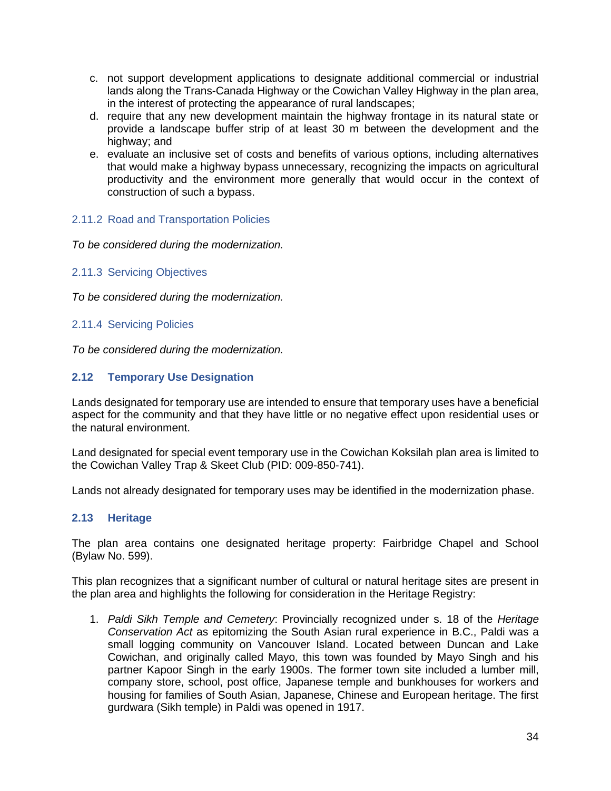- c. not support development applications to designate additional commercial or industrial lands along the Trans-Canada Highway or the Cowichan Valley Highway in the plan area, in the interest of protecting the appearance of rural landscapes;
- d. require that any new development maintain the highway frontage in its natural state or provide a landscape buffer strip of at least 30 m between the development and the highway; and
- e. evaluate an inclusive set of costs and benefits of various options, including alternatives that would make a highway bypass unnecessary, recognizing the impacts on agricultural productivity and the environment more generally that would occur in the context of construction of such a bypass.

# 2.11.2 Road and Transportation Policies

*To be considered during the modernization.*

2.11.3 Servicing Objectives

*To be considered during the modernization.*

### 2.11.4 Servicing Policies

*To be considered during the modernization.*

# **2.12 Temporary Use Designation**

Lands designated for temporary use are intended to ensure that temporary uses have a beneficial aspect for the community and that they have little or no negative effect upon residential uses or the natural environment.

Land designated for special event temporary use in the Cowichan Koksilah plan area is limited to the Cowichan Valley Trap & Skeet Club (PID: 009-850-741).

Lands not already designated for temporary uses may be identified in the modernization phase.

### **2.13 Heritage**

The plan area contains one designated heritage property: Fairbridge Chapel and School (Bylaw No. 599).

This plan recognizes that a significant number of cultural or natural heritage sites are present in the plan area and highlights the following for consideration in the Heritage Registry:

1. *Paldi Sikh Temple and Cemetery*: Provincially recognized under s. 18 of the *Heritage Conservation Act* as epitomizing the South Asian rural experience in B.C., Paldi was a small logging community on Vancouver Island. Located between Duncan and Lake Cowichan, and originally called Mayo, this town was founded by Mayo Singh and his partner Kapoor Singh in the early 1900s. The former town site included a lumber mill, company store, school, post office, Japanese temple and bunkhouses for workers and housing for families of South Asian, Japanese, Chinese and European heritage. The first gurdwara (Sikh temple) in Paldi was opened in 1917.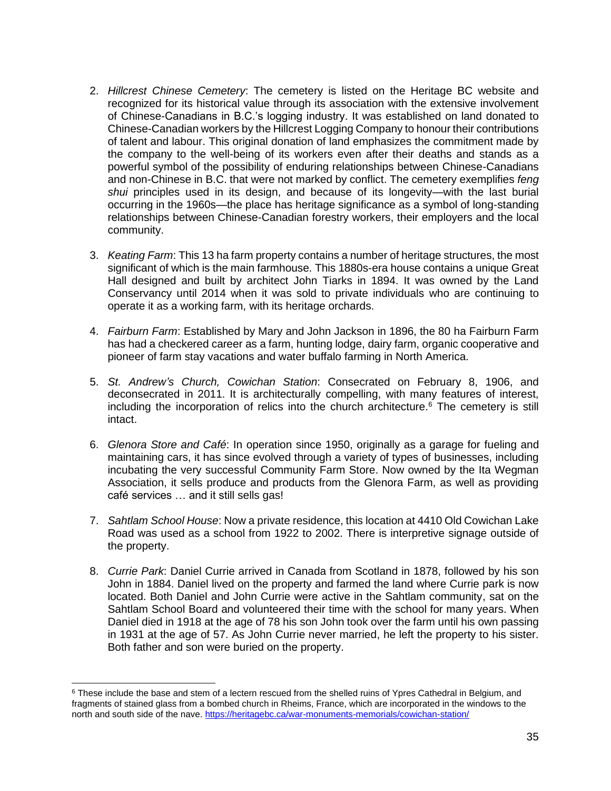- 2. *Hillcrest Chinese Cemetery*: The cemetery is listed on the Heritage BC website and recognized for its historical value through its association with the extensive involvement of Chinese-Canadians in B.C.'s logging industry. It was established on land donated to Chinese-Canadian workers by the Hillcrest Logging Company to honour their contributions of talent and labour. This original donation of land emphasizes the commitment made by the company to the well-being of its workers even after their deaths and stands as a powerful symbol of the possibility of enduring relationships between Chinese-Canadians and non-Chinese in B.C. that were not marked by conflict. The cemetery exemplifies *feng shui* principles used in its design, and because of its longevity—with the last burial occurring in the 1960s—the place has heritage significance as a symbol of long-standing relationships between Chinese-Canadian forestry workers, their employers and the local community.
- 3. *Keating Farm*: This 13 ha farm property contains a number of heritage structures, the most significant of which is the main farmhouse. This 1880s-era house contains a unique Great Hall designed and built by architect John Tiarks in 1894. It was owned by the Land Conservancy until 2014 when it was sold to private individuals who are continuing to operate it as a working farm, with its heritage orchards.
- 4. *Fairburn Farm*: Established by Mary and John Jackson in 1896, the 80 ha Fairburn Farm has had a checkered career as a farm, hunting lodge, dairy farm, organic cooperative and pioneer of farm stay vacations and water buffalo farming in North America.
- 5. *St. Andrew's Church, Cowichan Station*: Consecrated on February 8, 1906, and deconsecrated in 2011. It is architecturally compelling, with many features of interest, including the incorporation of relics into the church architecture.<sup>6</sup> The cemetery is still intact.
- 6. *Glenora Store and Café*: In operation since 1950, originally as a garage for fueling and maintaining cars, it has since evolved through a variety of types of businesses, including incubating the very successful Community Farm Store. Now owned by the Ita Wegman Association, it sells produce and products from the Glenora Farm, as well as providing café services … and it still sells gas!
- 7. *Sahtlam School House*: Now a private residence, this location at 4410 Old Cowichan Lake Road was used as a school from 1922 to 2002. There is interpretive signage outside of the property.
- 8. *Currie Park*: Daniel Currie arrived in Canada from Scotland in 1878, followed by his son John in 1884. Daniel lived on the property and farmed the land where Currie park is now located. Both Daniel and John Currie were active in the Sahtlam community, sat on the Sahtlam School Board and volunteered their time with the school for many years. When Daniel died in 1918 at the age of 78 his son John took over the farm until his own passing in 1931 at the age of 57. As John Currie never married, he left the property to his sister. Both father and son were buried on the property.

<sup>&</sup>lt;sup>6</sup> These include the base and stem of a lectern rescued from the shelled ruins of Ypres Cathedral in Belgium, and fragments of stained glass from a bombed church in Rheims, France, which are incorporated in the windows to the north and south side of the nave. <https://heritagebc.ca/war-monuments-memorials/cowichan-station/>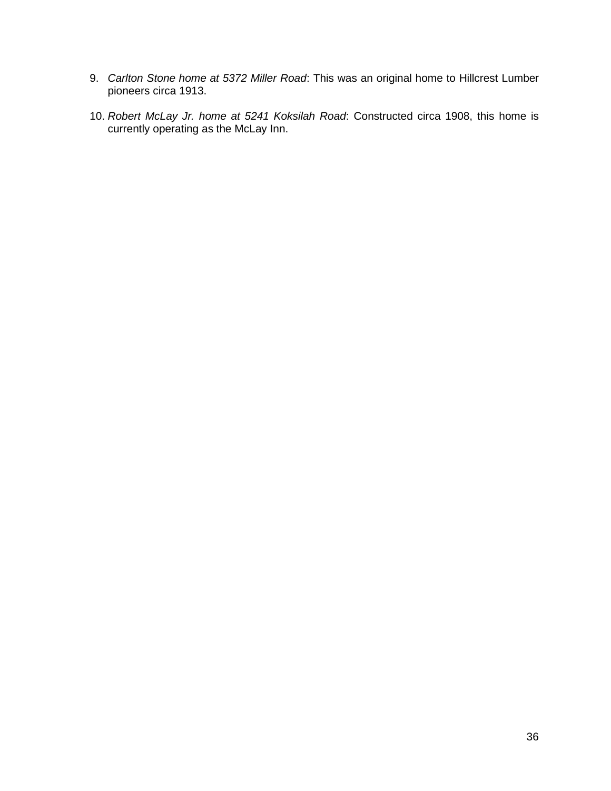- 9. *Carlton Stone home at 5372 Miller Road*: This was an original home to Hillcrest Lumber pioneers circa 1913.
- 10. *Robert McLay Jr. home at 5241 Koksilah Road*: Constructed circa 1908, this home is currently operating as the McLay Inn.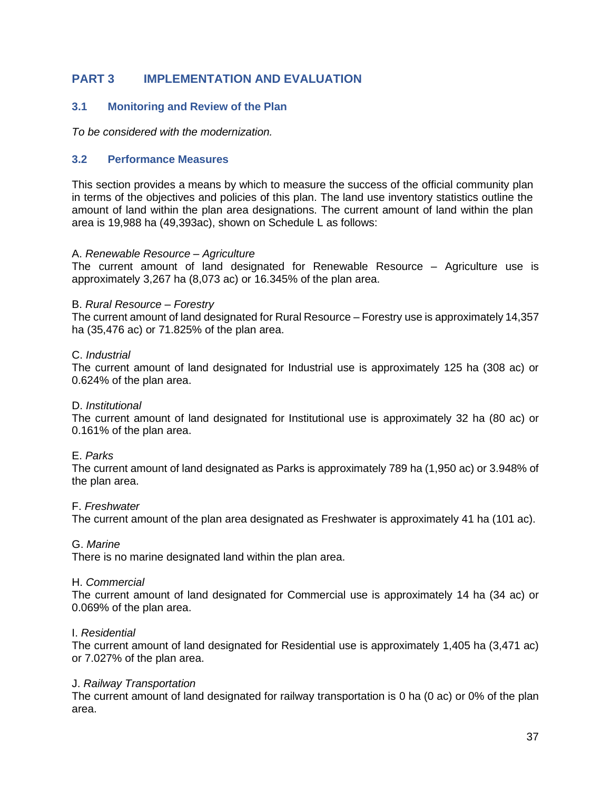# **PART 3 IMPLEMENTATION AND EVALUATION**

## **3.1 Monitoring and Review of the Plan**

*To be considered with the modernization.*

### **3.2 Performance Measures**

This section provides a means by which to measure the success of the official community plan in terms of the objectives and policies of this plan. The land use inventory statistics outline the amount of land within the plan area designations. The current amount of land within the plan area is 19,988 ha (49,393ac), shown on Schedule L as follows:

#### A. *Renewable Resource – Agriculture*

The current amount of land designated for Renewable Resource – Agriculture use is approximately 3,267 ha (8,073 ac) or 16.345% of the plan area.

#### B. *Rural Resource – Forestry*

The current amount of land designated for Rural Resource – Forestry use is approximately 14,357 ha (35,476 ac) or 71.825% of the plan area.

#### C. *Industrial*

The current amount of land designated for Industrial use is approximately 125 ha (308 ac) or 0.624% of the plan area.

#### D. *Institutional*

The current amount of land designated for Institutional use is approximately 32 ha (80 ac) or 0.161% of the plan area.

#### E. *Parks*

The current amount of land designated as Parks is approximately 789 ha (1,950 ac) or 3.948% of the plan area.

#### F. *Freshwater*

The current amount of the plan area designated as Freshwater is approximately 41 ha (101 ac).

#### G. *Marine*

There is no marine designated land within the plan area.

#### H. *Commercial*

The current amount of land designated for Commercial use is approximately 14 ha (34 ac) or 0.069% of the plan area.

#### I. *Residential*

The current amount of land designated for Residential use is approximately 1,405 ha (3,471 ac) or 7.027% of the plan area.

#### J. *Railway Transportation*

The current amount of land designated for railway transportation is 0 ha (0 ac) or 0% of the plan area.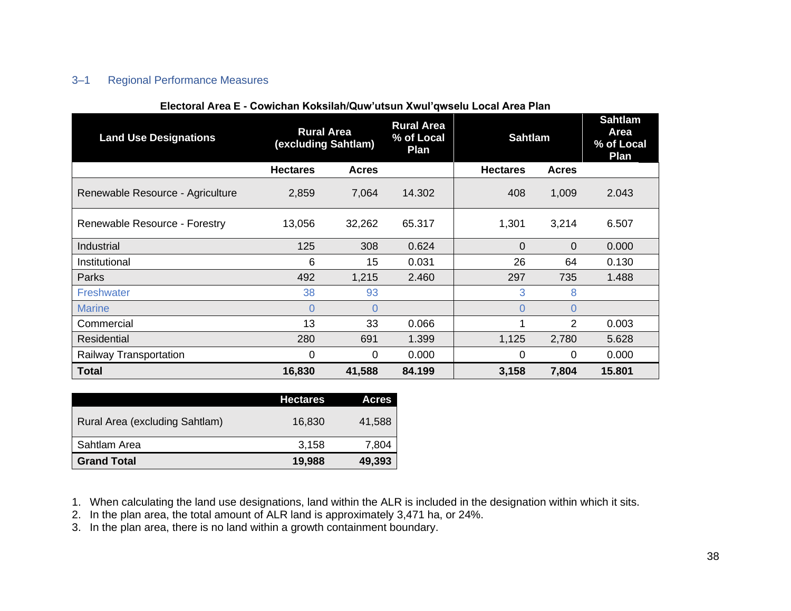# 3–1 Regional Performance Measures

<span id="page-39-0"></span>

| <b>Land Use Designations</b>     | <b>Rural Area</b><br>(excluding Sahtlam) |                | <b>Rural Area</b><br>% of Local<br>Plan | <b>Sahtlam</b>  |              | <b>Sahtlam</b><br>Area<br>% of Local<br>Plan |
|----------------------------------|------------------------------------------|----------------|-----------------------------------------|-----------------|--------------|----------------------------------------------|
|                                  | <b>Hectares</b>                          | <b>Acres</b>   |                                         | <b>Hectares</b> | <b>Acres</b> |                                              |
| Renewable Resource - Agriculture | 2,859                                    | 7,064          | 14.302                                  | 408             | 1,009        | 2.043                                        |
| Renewable Resource - Forestry    | 13,056                                   | 32,262         | 65.317                                  | 1,301           | 3,214        | 6.507                                        |
| Industrial                       | 125                                      | 308            | 0.624                                   | $\overline{0}$  | $\mathbf 0$  | 0.000                                        |
| Institutional                    | 6                                        | 15             | 0.031                                   | 26              | 64           | 0.130                                        |
| Parks                            | 492                                      | 1,215          | 2.460                                   | 297             | 735          | 1.488                                        |
| <b>Freshwater</b>                | 38                                       | 93             |                                         | 3               | 8            |                                              |
| <b>Marine</b>                    | 0                                        | $\overline{0}$ |                                         | $\Omega$        | 0            |                                              |
| Commercial                       | 13                                       | 33             | 0.066                                   |                 | 2            | 0.003                                        |
| Residential                      | 280                                      | 691            | 1.399                                   | 1,125           | 2,780        | 5.628                                        |
| Railway Transportation           | 0                                        | 0              | 0.000                                   | 0               | 0            | 0.000                                        |
| <b>Total</b>                     | 16,830                                   | 41,588         | 84.199                                  | 3,158           | 7,804        | 15.801                                       |

#### **Electoral Area E - Cowichan Koksilah/Quw'utsun Xwul'qwselu Local Area Plan**

|                                | <b>Hectares</b> | <b>Acres</b> |
|--------------------------------|-----------------|--------------|
| Rural Area (excluding Sahtlam) | 16,830          | 41.588       |
| Sahtlam Area                   | 3,158           | 7.804        |
| <b>Grand Total</b>             | 19,988          | 49,393       |

1. When calculating the land use designations, land within the ALR is included in the designation within which it sits.

2. In the plan area, the total amount of ALR land is approximately 3,471 ha, or 24%.

3. In the plan area, there is no land within a growth containment boundary.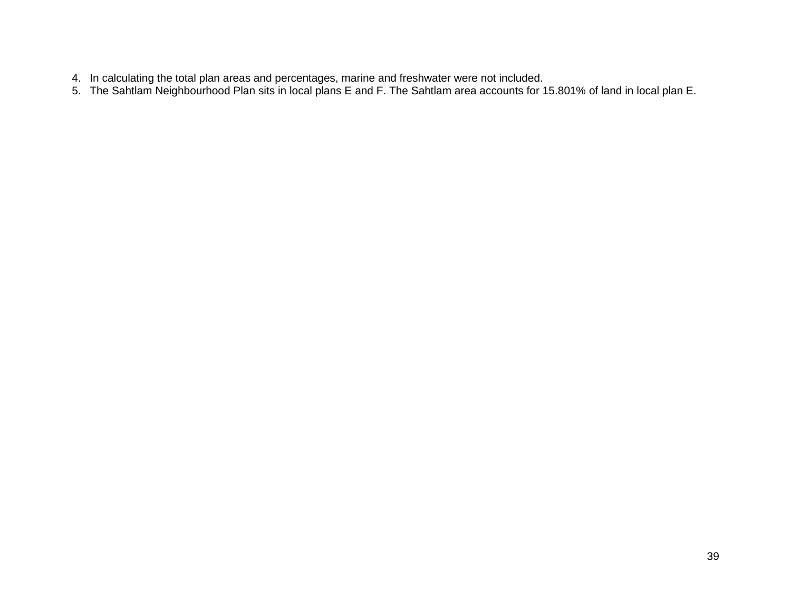- 4. In calculating the total plan areas and percentages, marine and freshwater were not included.
- 5. The Sahtlam Neighbourhood Plan sits in local plans E and F. The Sahtlam area accounts for 15.801% of land in local plan E.